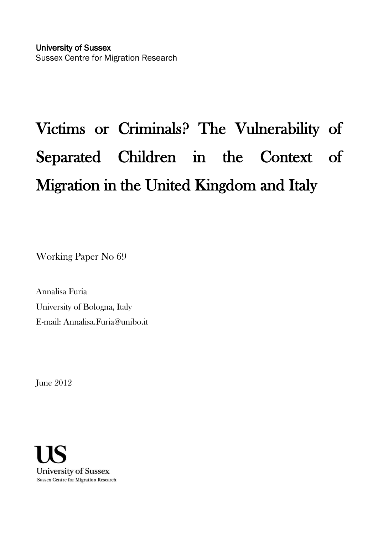# Victims or Criminals? The Vulnerability of Separated Children in the Context of Migration in the United Kingdom and Italy

Working Paper No 69

Annalisa Furia University of Bologna, Italy E-mail: Annalisa.Furia@unibo.it

June 2012

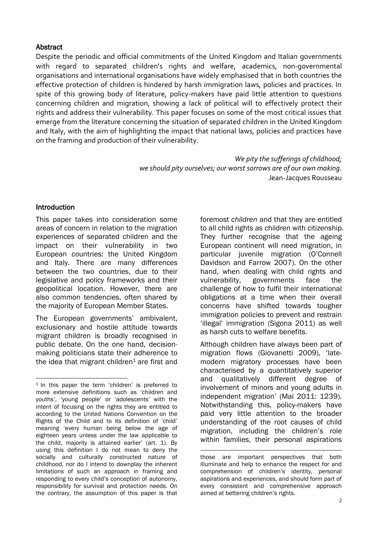#### **Abstract**

Despite the periodic and official commitments of the United Kingdom and Italian governments with regard to separated children's rights and welfare, academics, non-governmental organisations and international organisations have widely emphasised that in both countries the effective protection of children is hindered by harsh immigration laws, policies and practices. In spite of this growing body of literature, policy-makers have paid little attention to questions concerning children and migration, showing a lack of political will to effectively protect their rights and address their vulnerability. This paper focuses on some of the most critical issues that emerge from the literature concerning the situation of separated children in the United Kingdom and Italy, with the aim of highlighting the impact that national laws, policies and practices have on the framing and production of their vulnerability.

> *We pity the sufferings of childhood; we should pity ourselves; our worst sorrows are of our own making*. Jean-Jacques Rousseau

## Introduction

This paper takes into consideration some areas of concern in relation to the migration experiences of separated children and the impact on their vulnerability in two European countries: the United Kingdom and Italy. There are many differences between the two countries, due to their legislative and policy frameworks and their geopolitical location. However, there are also common tendencies, often shared by the majority of European Member States.

The European governments' ambivalent, exclusionary and hostile attitude towards migrant children is broadly recognised in public debate. On the one hand, decisionmaking politicians state their adherence to the idea that migrant children<sup>1</sup> are first and

foremost *children* and that they are entitled to all child rights as children with citizenship. They further recognise that the ageing European continent will need migration, in particular juvenile migration (O'Connell Davidson and Farrow 2007). On the other hand, when dealing with child rights and vulnerability, governments face the challenge of how to fulfil their international obligations at a time when their overall concerns have shifted towards tougher immigration policies to prevent and restrain 'illegal' immigration (Sigona 2011) as well as harsh cuts to welfare benefits.

Although children have always been part of migration flows (Giovanetti 2009), 'latemodern migratory processes have been characterised by a quantitatively superior and qualitatively different degree of involvement of minors and young adults in independent migration' (Mai 2011: 1239). Notwithstanding this, policy-makers have paid very little attention to the broader understanding of the root causes of child migration, including the children's role within families, their personal aspirations

<sup>1</sup> <sup>1</sup> In this paper the term 'children' is preferred to more extensive definitions such as 'children and youths', 'young people' or 'adolescents' with the intent of focusing on the rights they are entitled to according to the United Nations Convention on the Rights of the Child and to its definition of 'child' meaning 'every human being below the age of eighteen years unless under the law applicable to the child, majority is attained earlier' (art. 1). By using this definition I do not mean to deny the socially and culturally constructed nature of childhood, nor do I intend to downplay the inherent limitations of such an approach in framing and responding to every child's conception of autonomy, responsibility for survival and protection needs. On the contrary, the assumption of this paper is that

<sup>1</sup> those are important perspectives that both illuminate and help to enhance the respect for and comprehension of children's identity, personal aspirations and experiences, and should form part of every consistent and comprehensive approach aimed at bettering children's rights.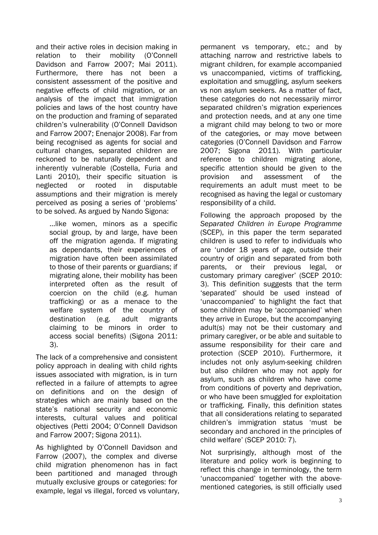and their active roles in decision making in relation to their mobility (O'Connell Davidson and Farrow 2007; Mai 2011). Furthermore, there has not been a consistent assessment of the positive and negative effects of child migration, or an analysis of the impact that immigration policies and laws of the host country have on the production and framing of separated children's vulnerability (O'Connell Davidson and Farrow 2007; Enenajor 2008). Far from being recognised as agents for social and cultural changes, separated children are reckoned to be naturally dependent and inherently vulnerable (Costella, Furia and Lanti 2010), their specific situation is neglected or rooted in disputable assumptions and their migration is merely perceived as posing a series of 'problems' to be solved. As argued by Nando Sigona:

…like women, minors as a specific social group, by and large, have been off the migration agenda. If migrating as dependants, their experiences of migration have often been assimilated to those of their parents or guardians; if migrating alone, their mobility has been interpreted often as the result of coercion on the child (e.g. human trafficking) or as a menace to the welfare system of the country of destination (e.g. adult migrants claiming to be minors in order to access social benefits) (Sigona 2011: 3).

The lack of a comprehensive and consistent policy approach in dealing with child rights issues associated with migration, is in turn reflected in a failure of attempts to agree on definitions and on the design of strategies which are mainly based on the state's national security and economic interests, cultural values and political objectives (Petti 2004; O'Connell Davidson and Farrow 2007; Sigona 2011).

As highlighted by O'Connell Davidson and Farrow (2007), the complex and diverse child migration phenomenon has in fact been partitioned and managed through mutually exclusive groups or categories: for example, legal vs illegal, forced vs voluntary, permanent vs temporary, etc.; and by attaching narrow and restrictive labels to migrant children, for example accompanied vs unaccompanied, victims of trafficking, exploitation and smuggling, asylum seekers vs non asylum seekers. As a matter of fact, these categories do not necessarily mirror separated children's migration experiences and protection needs, and at any one time a migrant child may belong to two or more of the categories, or may move between categories (O'Connell Davidson and Farrow 2007; Sigona 2011). With particular reference to children migrating alone, specific attention should be given to the provision and assessment of the requirements an adult must meet to be recognised as having the legal or customary responsibility of a child.

Following the approach proposed by the *Separated Children in Europe Programme* (SCEP), in this paper the term separated children is used to refer to individuals who are 'under 18 years of age, outside their country of origin and separated from both parents, or their previous legal, or customary primary caregiver' (SCEP 2010: 3). This definition suggests that the term 'separated' should be used instead of 'unaccompanied' to highlight the fact that some children may be 'accompanied' when they arrive in Europe, but the accompanying adult(s) may not be their customary and primary caregiver, or be able and suitable to assume responsibility for their care and protection (SCEP 2010). Furthermore, it includes not only asylum-seeking children but also children who may not apply for asylum, such as children who have come from conditions of poverty and deprivation, or who have been smuggled for exploitation or trafficking. Finally, this definition states that all considerations relating to separated children's immigration status 'must be secondary and anchored in the principles of child welfare' (SCEP 2010: 7).

Not surprisingly, although most of the literature and policy work is beginning to reflect this change in terminology, the term 'unaccompanied' together with the abovementioned categories, is still officially used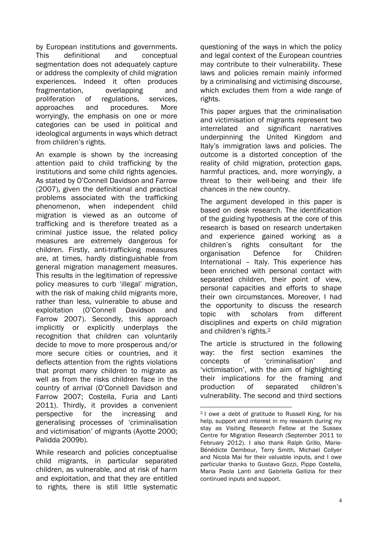by European institutions and governments. This definitional and conceptual segmentation does not adequately capture or address the complexity of child migration experiences. Indeed it often produces fragmentation, overlapping and proliferation of regulations, services, approaches and procedures. More worryingly, the emphasis on one or more categories can be used in political and ideological arguments in ways which detract from children's rights.

An example is shown by the increasing attention paid to child trafficking by the institutions and some child rights agencies. As stated by O'Connell Davidson and Farrow (2007), given the definitional and practical problems associated with the trafficking phenomenon, when independent child migration is viewed as an outcome of trafficking and is therefore treated as a criminal justice issue, the related policy measures are extremely dangerous for children. Firstly, anti-trafficking measures are, at times, hardly distinguishable from general migration management measures. This results in the legitimation of repressive policy measures to curb 'illegal' migration, with the risk of making child migrants more, rather than less, vulnerable to abuse and exploitation (O'Connell Davidson and Farrow 2007). Secondly, this approach implicitly or explicitly underplays the recognition that children can voluntarily decide to move to more prosperous and/or more secure cities or countries, and it deflects attention from the rights violations that prompt many children to migrate as well as from the risks children face in the country of arrival (O'Connell Davidson and Farrow 2007; Costella, Furia and Lanti 2011). Thirdly, it provides a convenient perspective for the increasing and generalising processes of 'criminalisation and victimisation' of migrants (Ayotte 2000; Palidda 2009b).

While research and policies conceptualise child migrants, in particular separated children, as vulnerable, and at risk of harm and exploitation, and that they are entitled to rights, there is still little systematic

questioning of the ways in which the policy and legal context of the European countries may contribute to their vulnerability. These laws and policies remain mainly informed by a criminalising and victimising discourse, which excludes them from a wide range of rights.

This paper argues that the criminalisation and victimisation of migrants represent two interrelated and significant narratives underpinning the United Kingdom and Italy's immigration laws and policies. The outcome is a distorted conception of the reality of child migration, protection gaps, harmful practices, and, more worryingly, a threat to their well-being and their life chances in the new country.

The argument developed in this paper is based on desk research. The identification of the guiding hypothesis at the core of this research is based on research undertaken and experience gained working as a children's rights consultant for the organisation Defence for Children International – Italy. This experience has been enriched with personal contact with separated children, their point of view, personal capacities and efforts to shape their own circumstances. Moreover, I had the opportunity to discuss the research topic with scholars from different disciplines and experts on child migration and children's rights.<sup>2</sup>

The article is structured in the following way: the first section examines the concepts of 'criminalisation' and 'victimisation', with the aim of highlighting their implications for the framing and production of separated children's vulnerability. The second and third sections

1

<sup>2</sup> I owe a debt of gratitude to Russell King, for his help, support and interest in my research during my stay as Visiting Research Fellow at the Sussex Centre for Migration Research (September 2011 to February 2012). I also thank Ralph Grillo, Marie-Bénédicte Dembour, Terry Smith, Michael Collyer and Nicola Mai for their valuable inputs, and I owe particular thanks to Gustavo Gozzi, Pippo Costella, Maria Paola Lanti and Gabriella Gallizia for their continued inputs and support.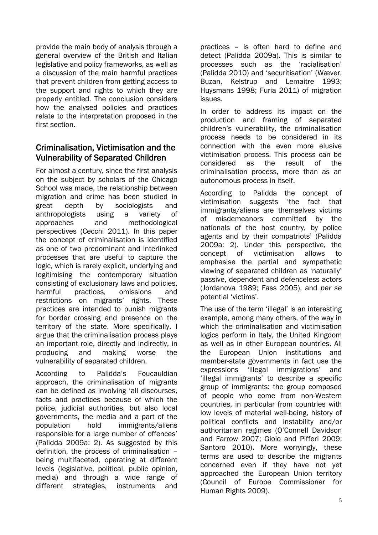provide the main body of analysis through a general overview of the British and Italian legislative and policy frameworks, as well as a discussion of the main harmful practices that prevent children from getting access to the support and rights to which they are properly entitled. The conclusion considers how the analysed policies and practices relate to the interpretation proposed in the first section.

# Criminalisation, Victimisation and the Vulnerability of Separated Children

For almost a century, since the first analysis on the subject by scholars of the Chicago School was made, the relationship between migration and crime has been studied in great depth by sociologists and anthropologists using a variety of approaches and methodological perspectives (Cecchi 2011). In this paper the concept of criminalisation is identified as one of two predominant and interlinked processes that are useful to capture the logic, which is rarely explicit, underlying and legitimising the contemporary situation consisting of exclusionary laws and policies, harmful practices, omissions and restrictions on migrants' rights. These practices are intended to punish migrants for border crossing and presence on the territory of the state. More specifically, I argue that the criminalisation process plays an important role, directly and indirectly, in producing and making worse the vulnerability of separated children.

According to Palidda's Foucauldian approach, the criminalisation of migrants can be defined as involving 'all discourses, facts and practices because of which the police, judicial authorities, but also local governments, the media and a part of the population hold immigrants/aliens responsible for a large number of offences' (Palidda 2009a: 2). As suggested by this definition, the process of criminalisation – being multifaceted, operating at different levels (legislative, political, public opinion, media) and through a wide range of different strategies, instruments and

practices – is often hard to define and detect (Palidda 2009a). This is similar to processes such as the 'racialisation' (Palidda 2010) and 'securitisation' (Wæver, Buzan, Kelstrup and Lemaitre 1993; Huysmans 1998; Furia 2011) of migration issues.

In order to address its impact on the production and framing of separated children's vulnerability, the criminalisation process needs to be considered in its connection with the even more elusive victimisation process. This process can be considered as the result of the criminalisation process, more than as an autonomous process in itself.

According to Palidda the concept of victimisation suggests 'the fact that immigrants/aliens are themselves victims of misdemeanors committed by the nationals of the host country, by police agents and by their compatriots' (Palidda 2009a: 2). Under this perspective, the concept of victimisation allows to emphasise the partial and sympathetic viewing of separated children as 'naturally' passive, dependent and defenceless actors (Jordanova 1989; Fass 2005), and *per se* potential 'victims'.

The use of the term 'illegal' is an interesting example, among many others, of the way in which the criminalisation and victimisation logics perform in Italy, the United Kingdom as well as in other European countries. All the European Union institutions and member-state governments in fact use the expressions 'illegal immigrations' and 'illegal immigrants' to describe a specific group of immigrants: the group composed of people who come from non-Western countries, in particular from countries with low levels of material well-being, history of political conflicts and instability and/or authoritarian regimes (O'Connell Davidson and Farrow 2007; Giolo and Pifferi 2009; Santoro 2010). More worryingly, these terms are used to describe the migrants concerned even if they have not yet approached the European Union territory (Council of Europe Commissioner for Human Rights 2009).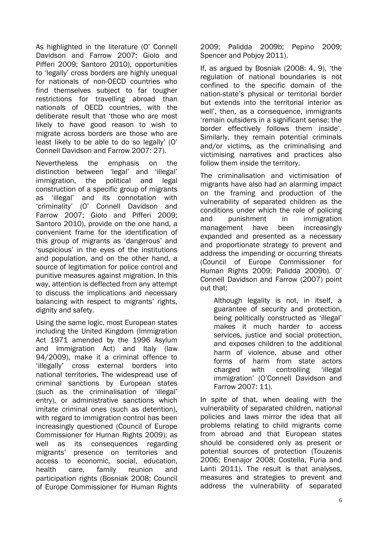As highlighted in the literature (O' Connell Davidson and Farrow 2007; Giolo and Pifferi 2009; Santoro 2010), opportunities to 'legally' cross borders are highly unequal for nationals of non-OECD countries who find themselves subject to far tougher restrictions for travelling abroad than nationals of OECD countries, with the deliberate result that 'those who are most likely to have good reason to wish to migrate across borders are those who are least likely to be able to do so legally' (O' Connell Davidson and Farrow 2007: 27).

Nevertheless the emphasis on the distinction between 'legal' and 'illegal' immigration, the political and legal construction of a specific group of migrants as 'illegal' and its connotation with 'criminality' (O' Connell Davidson and Farrow 2007; Giolo and Pifferi 2009; Santoro 2010), provide on the one hand, a convenient frame for the identification of this group of migrants as 'dangerous' and 'suspicious' in the eyes of the institutions and population, and on the other hand, a source of legitimation for police control and punitive measures against migration. In this way, attention is deflected from any attempt to discuss the implications and necessary balancing with respect to migrants' rights, dignity and safety.

Using the same logic, most European states including the United Kingdom (Immigration Act 1971 amended by the 1996 Asylum and Immigration Act) and Italy (law 94/2009), make it a criminal offence to 'illegally' cross external borders into national territories. The widespread use of criminal sanctions by European states (such as the criminalisation of 'illegal' entry), or administrative sanctions which imitate criminal ones (such as detention), with regard to immigration control has been increasingly questioned (Council of Europe Commissioner for Human Rights 2009); as well as its consequences regarding migrants' presence on territories and access to economic, social, education, health care, family reunion and participation rights (Bosniak 2008; Council of Europe Commissioner for Human Rights

2009; Palidda 2009b; Pepino 2009; Spencer and Pobjoy 2011).

If, as argued by Bosniak (2008: 4, 9), 'the regulation of national boundaries is not confined to the specific domain of the nation-state's physical or territorial border but extends into the territorial interior as well', then, as a consequence, immigrants 'remain outsiders in a significant sense: the border effectively follows them inside'. Similarly, they remain potential criminals and/or victims, as the criminalising and victimising narratives and practices also follow them inside the territory.

The criminalisation and victimisation of migrants have also had an alarming impact on the framing and production of the vulnerability of separated children as the conditions under which the role of policing and punishment in immigration management have been increasingly expanded and presented as a necessary and proportionate strategy to prevent and address the impending or occurring threats (Council of Europe Commissioner for Human Rights 2009; Palidda 2009b). O' Connell Davidson and Farrow (2007) point out that:

Although legality is not, in itself, a guarantee of security and protection, being politically constructed as 'illegal' makes it much harder to access services, justice and social protection, and exposes children to the additional harm of violence, abuse and other forms of harm from state actors charged with controlling 'illegal immigration' (O'Connell Davidson and Farrow 2007: 11).

In spite of that, when dealing with the vulnerability of separated children, national policies and laws mirror the idea that all problems relating to child migrants come from abroad and that European states should be considered only as present or potential sources of protection (Touzenis 2006; Enenajor 2008; Costella, Furia and Lanti 2011). The result is that analyses, measures and strategies to prevent and address the vulnerability of separated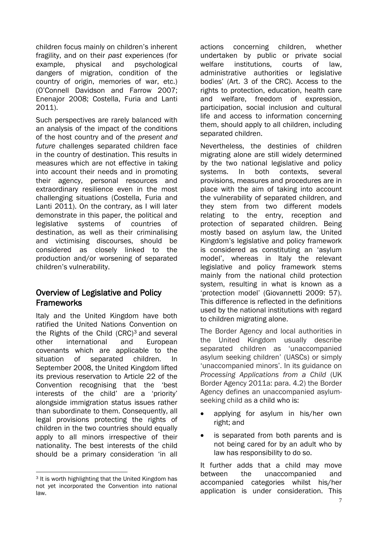children focus mainly on children's inherent fragility, and on their *past* experiences (for example, physical and psychological dangers of migration, condition of the country of origin, memories of war, etc.) (O'Connell Davidson and Farrow 2007; Enenajor 2008; Costella, Furia and Lanti 2011).

Such perspectives are rarely balanced with an analysis of the impact of the conditions of the host country and of the *present and future* challenges separated children face in the country of destination. This results in measures which are not effective in taking into account their needs and in promoting their agency, personal resources and extraordinary resilience even in the most challenging situations (Costella, Furia and Lanti 2011). On the contrary, as I will later demonstrate in this paper, the political and legislative systems of countries of destination, as well as their criminalising and victimising discourses, should be considered as closely linked to the production and/or worsening of separated children's vulnerability.

# Overview of Legislative and Policy Frameworks

Italy and the United Kingdom have both ratified the United Nations Convention on the Rights of the Child (CRC)<sup>3</sup> and several other international and European covenants which are applicable to the situation of separated children. In September 2008, the United Kingdom lifted its previous reservation to Article 22 of the Convention recognising that the 'best interests of the child' are a 'priority' alongside immigration status issues rather than subordinate to them. Consequently, all legal provisions protecting the rights of children in the two countries should equally apply to all minors irrespective of their nationality. The best interests of the child should be a primary consideration 'in all

actions concerning children, whether undertaken by public or private social welfare institutions, courts of law, administrative authorities or legislative bodies' (Art. 3 of the CRC). Access to the rights to protection, education, health care and welfare, freedom of expression, participation, social inclusion and cultural life and access to information concerning them, should apply to all children, including separated children.

Nevertheless, the destinies of children migrating alone are still widely determined by the two national legislative and policy systems. In both contexts, several provisions, measures and procedures are in place with the aim of taking into account the vulnerability of separated children, and they stem from two different models relating to the entry, reception and protection of separated children. Being mostly based on asylum law, the United Kingdom's legislative and policy framework is considered as constituting an 'asylum model', whereas in Italy the relevant legislative and policy framework stems mainly from the national child protection system, resulting in what is known as a 'protection model' (Giovannetti 2009: 57). This difference is reflected in the definitions used by the national institutions with regard to children migrating alone.

The Border Agency and local authorities in the United Kingdom usually describe separated children as 'unaccompanied asylum seeking children' (UASCs) or simply 'unaccompanied minors'. In its guidance on *Processing Applications from a Child* (UK Border Agency 2011a: para. 4.2) the Border Agency defines an unaccompanied asylumseeking child as a child who is:

- applying for asylum in his/her own right; and
- is separated from both parents and is not being cared for by an adult who by law has responsibility to do so.

It further adds that a child may move between the unaccompanied and accompanied categories whilst his/her application is under consideration. This

<sup>1</sup> <sup>3</sup> It is worth highlighting that the United Kingdom has not yet incorporated the Convention into national law.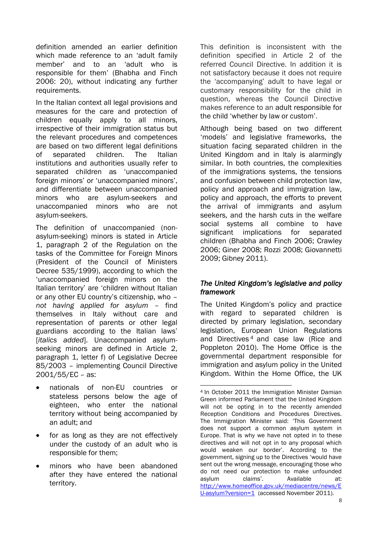definition amended an earlier definition which made reference to an 'adult family member' and to an 'adult who is responsible for them' (Bhabha and Finch 2006: 20), without indicating any further requirements.

In the Italian context all legal provisions and measures for the care and protection of children equally apply to all minors, irrespective of their immigration status but the relevant procedures and competences are based on two different legal definitions of separated children. The Italian institutions and authorities usually refer to separated children as 'unaccompanied foreign minors' or 'unaccompanied minors', and differentiate between unaccompanied minors who are asylum-seekers and unaccompanied minors who are not asylum-seekers.

The definition of unaccompanied (nonasylum-seeking) minors is stated in Article 1, paragraph 2 of the Regulation on the tasks of the Committee for Foreign Minors (President of the Council of Ministers Decree 535/1999), according to which the 'unaccompanied foreign minors on the Italian territory' are 'children without Italian or any other EU country's citizenship, who – *not having applied for asylum* – find themselves in Italy without care and representation of parents or other legal guardians according to the Italian laws' [*italics added*]. Unaccompanied asylumseeking minors are defined in Article 2, paragraph 1, letter f) of Legislative Decree 85/2003 – implementing Council Directive 2001/55/EC – as:

- nationals of non-EU countries or stateless persons below the age of eighteen, who enter the national territory without being accompanied by an adult; and
- for as long as they are not effectively under the custody of an adult who is responsible for them;
- minors who have been abandoned after they have entered the national territory.

This definition is inconsistent with the definition specified in Article 2 of the referred Council Directive. In addition it is not satisfactory because it does not require the 'accompanying' adult to have legal or customary responsibility for the child in question, whereas the Council Directive makes reference to an adult responsible for the child 'whether by law or custom'.

Although being based on two different 'models' and legislative frameworks, the situation facing separated children in the United Kingdom and in Italy is alarmingly similar. In both countries, the complexities of the immigrations systems, the tensions and confusion between child protection law, policy and approach and immigration law, policy and approach, the efforts to prevent the arrival of immigrants and asylum seekers, and the harsh cuts in the welfare social systems all combine to have significant implications for separated children (Bhabha and Finch 2006; Crawley 2006; Giner 2008; Rozzi 2008; Giovannetti 2009; Gibney 2011).

## *The United Kingdom's legislative and policy framework*

The United Kingdom's policy and practice with regard to separated children is directed by primary legislation, secondary legislation, European Union Regulations and Directives <sup>4</sup> and case law (Rice and Poppleton 2010). The Home Office is the governmental department responsible for immigration and asylum policy in the United Kingdom. Within the Home Office, the UK

<sup>1</sup> <sup>4</sup> In October 2011 the Immigration Minister Damian Green informed Parliament that the United Kingdom will not be opting in to the recently amended Reception Conditions and Procedures Directives. The Immigration Minister said: 'This Government does not support a common asylum system in Europe. That is why we have not opted in to these directives and will not opt in to any proposal which would weaken our border'. According to the government, signing up to the Directives 'would have sent out the wrong message, encouraging those who do not need our protection to make unfounded<br>asylum claims'. Available at: asylum claims'. Available at: [http://www.homeoffice.gov.uk/mediacentre/news/E](http://www.homeoffice.gov.uk/mediacentre/news/EU-asylum?version=1) [U-asylum?version=1](http://www.homeoffice.gov.uk/mediacentre/news/EU-asylum?version=1) (accessed November 2011).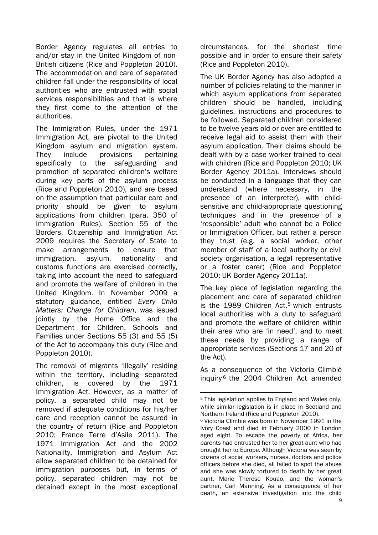Border Agency regulates all entries to and/or stay in the United Kingdom of non-British citizens (Rice and Poppleton 2010). The accommodation and care of separated children fall under the responsibility of local authorities who are entrusted with social services responsibilities and that is where they first come to the attention of the authorities.

The Immigration Rules, under the 1971 Immigration Act, are pivotal to the United Kingdom asylum and migration system. They include provisions pertaining specifically to the safeguarding and promotion of separated children's welfare during key parts of the asylum process (Rice and Poppleton 2010), and are based on the assumption that particular care and priority should be given to asylum applications from children (para. 350 of Immigration Rules). Section 55 of the Borders, Citizenship and Immigration Act 2009 requires the Secretary of State to make arrangements to ensure that immigration, asylum, nationality and customs functions are exercised correctly, taking into account the need to safeguard and promote the welfare of children in the United Kingdom. In November 2009 a statutory guidance, entitled *Every Child Matters: Change for Children*, was issued jointly by the Home Office and the Department for Children, Schools and Families under Sections 55 (3) and 55 (5) of the Act to accompany this duty (Rice and Poppleton 2010).

The removal of migrants 'illegally' residing within the territory, including separated children, is covered by the 1971 Immigration Act. However, as a matter of policy, a separated child may not be removed if adequate conditions for his/her care and reception cannot be assured in the country of return (Rice and Poppleton 2010; France Terre d'Asile 2011). The 1971 Immigration Act and the 2002 Nationality, Immigration and Asylum Act allow separated children to be detained for immigration purposes but, in terms of policy, separated children may not be detained except in the most exceptional

circumstances, for the shortest time possible and in order to ensure their safety (Rice and Poppleton 2010).

The UK Border Agency has also adopted a number of policies relating to the manner in which asylum applications from separated children should be handled, including guidelines, instructions and procedures to be followed. Separated children considered to be twelve years old or over are entitled to receive legal aid to assist them with their asylum application. Their claims should be dealt with by a case worker trained to deal with children (Rice and Poppleton 2010; UK Border Agency 2011a). Interviews should be conducted in a language that they can understand (where necessary, in the presence of an interpreter), with childsensitive and child-appropriate questioning techniques and in the presence of a 'responsible' adult who cannot be a Police or Immigration Officer, but rather a person they trust (e.g. a social worker, other member of staff of a local authority or civil society organisation, a legal representative or a foster carer) (Rice and Poppleton 2010; UK Border Agency 2011a).

The key piece of legislation regarding the placement and care of separated children is the 1989 Children Act.<sup>5</sup> which entrusts local authorities with a duty to safeguard and promote the welfare of children within their area who are 'in need', and to meet these needs by providing a range of appropriate services (Sections 17 and 20 of the Act).

As a consequence of the Victoria Climbié inquiry <sup>6</sup> the 2004 Children Act amended

<sup>1</sup> <sup>5</sup> This legislation applies to England and Wales only, while similar legislation is in place in Scotland and Northern Ireland (Rice and Poppleton 2010).

<sup>6</sup> Victoria Climbié was born in November 1991 in the Ivory Coast and died in February 2000 in London aged eight. To escape the poverty of Africa, her parents had entrusted her to her great aunt who had brought her to Europe. Although Victoria was seen by dozens of social workers, nurses, doctors and police officers before she died, all failed to spot the abuse and she was slowly tortured to death by her great aunt, Marie Therese Kouao, and the woman's partner, Carl Manning. As a consequence of her death, an extensive investigation into the child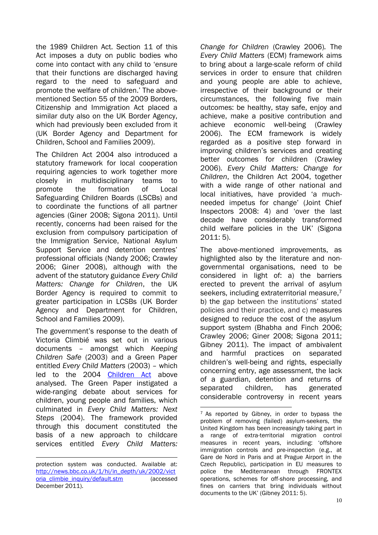the 1989 Children Act. Section 11 of this Act imposes a duty on public bodies who come into contact with any child to 'ensure that their functions are discharged having regard to the need to safeguard and promote the welfare of children.' The abovementioned Section 55 of the 2009 Borders, Citizenship and Immigration Act placed a similar duty also on the UK Border Agency, which had previously been excluded from it (UK Border Agency and Department for Children, School and Families 2009).

The Children Act 2004 also introduced a statutory framework for local cooperation requiring agencies to work together more closely in multidisciplinary teams to promote the formation of Local Safeguarding Children Boards (LSCBs) and to coordinate the functions of all partner agencies (Giner 2008; Sigona 2011). Until recently, concerns had been raised for the exclusion from compulsory participation of the Immigration Service, National Asylum Support Service and detention centres' professional officials (Nandy 2006; Crawley 2006; Giner 2008), although with the advent of the statutory guidance *Every Child Matters: Change for Children*, the UK Border Agency is required to commit to greater participation in LCSBs (UK Border Agency and Department for Children, School and Families 2009).

The government's response to the death of Victoria Climbié was set out in various documents – amongst which *Keeping Children Safe* (2003) and a Green Paper entitled *Every Child Matters* (2003) – which led to the 2004 [Children Act](http://en.wikipedia.org/wiki/Children_Act_2004) above analysed. The Green Paper instigated a wide-ranging debate about services for children, young people and families, which culminated in *Every Child Matters: Next Steps* (2004). The framework provided through this document constituted the basis of a new approach to childcare services entitled *Every Child Matters:* 

*Change for Children* (Crawley 2006)*.* The *Every Child Matters* (ECM) framework aims to bring about a large-scale reform of child services in order to ensure that children and young people are able to achieve, irrespective of their background or their circumstances, the following five main outcomes: be healthy, stay safe, enjoy and achieve, make a positive contribution and achieve economic well-being (Crawley 2006). The ECM framework is widely regarded as a positive step forward in improving children's services and creating better outcomes for children (Crawley 2006). *Every Child Matters: Change for Children*, the Children Act 2004, together with a wide range of other national and local initiatives, have provided 'a muchneeded impetus for change' (Joint Chief Inspectors 2008: 4) and 'over the last decade have considerably transformed child welfare policies in the UK' (Sigona 2011: 5).

The above-mentioned improvements, as highlighted also by the literature and nongovernmental organisations, need to be considered in light of: a) the barriers erected to prevent the arrival of asylum seekers, including extraterritorial measure,<sup>7</sup> b) the gap between the institutions' stated policies and their practice, and c) measures designed to reduce the cost of the asylum support system (Bhabha and Finch 2006; Crawley 2006; Giner 2008; Sigona 2011; Gibney 2011). The impact of ambivalent and harmful practices on separated children's well-being and rights, especially concerning entry, age assessment, the lack of a guardian, detention and returns of separated children, has generated considerable controversy in recent years

1

<sup>1</sup> protection system was conducted. Available at: [http://news.bbc.co.uk/1/hi/in\\_depth/uk/2002/vict](http://news.bbc.co.uk/1/hi/in_depth/uk/2002/victoria_climbie_inquiry/default.stm) oria climbie inquiry/default.stm (accessed December 2011).

 $7$  As reported by Gibney, in order to bypass the problem of removing (failed) asylum-seekers, the United Kingdom has been increasingly taking part in a range of extra-territorial migration control measures in recent years, including: 'offshore immigration controls and pre-inspection (e.g., at Gare de Nord in Paris and at Prague Airport in the Czech Republic), participation in EU measures to police the Mediterranean through FRONTEX operations, schemes for off-shore processing, and fines on carriers that bring individuals without documents to the UK' (Gibney 2011: 5).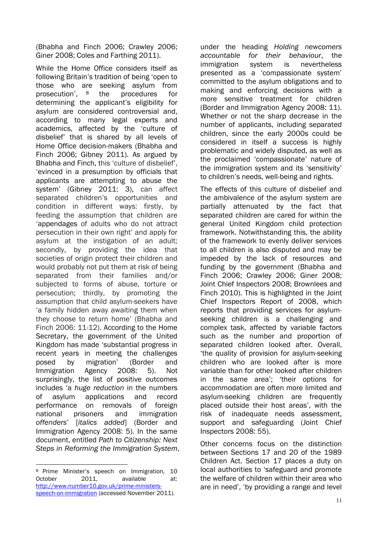(Bhabha and Finch 2006; Crawley 2006; Giner 2008; Coles and Farthing 2011).

While the Home Office considers itself as following Britain's tradition of being 'open to those who are seeking asylum from prosecution', <sup>8</sup> the procedures for determining the applicant's eligibility for asylum are considered controversial and, according to many legal experts and academics, affected by the 'culture of disbelief' that is shared by all levels of Home Office decision-makers (Bhabha and Finch 2006; Gibney 2011). As argued by Bhabha and Finch, this 'culture of disbelief', 'evinced in a presumption by officials that applicants are attempting to abuse the system' (Gibney 2011: 3), can affect separated children's opportunities and condition in different ways: firstly, by feeding the assumption that children are 'appendages of adults who do not attract persecution in their own right' and apply for asylum at the instigation of an adult; secondly, by providing the idea that societies of origin protect their children and would probably not put them at risk of being separated from their families and/or subjected to forms of abuse, torture or persecution; thirdly, by promoting the assumption that child asylum-seekers have 'a family hidden away awaiting them when they choose to return home' (Bhabha and Finch 2006: 11-12). According to the Home Secretary, the government of the United Kingdom has made 'substantial progress in recent years in meeting the challenges posed by migration' (Border and Immigration Agency 2008: 5). Not surprisingly, the list of positive outcomes includes 'a *huge reduction* in the numbers of asylum applications and record performance on removals of foreign national prisoners and immigration *offenders*' [*italics added*] (Border and Immigration Agency 2008: 5). In the same document, entitled *Path to Citizenship: Next Steps in Reforming the Immigration System*,

1 <sup>8</sup> Prime Minister's speech on Immigration, 10 October 2011. available at: [http://www.number10.gov.uk/prime-ministers](http://www.number10.gov.uk/prime-ministers-speech-on-immigration)[speech-on-immigration](http://www.number10.gov.uk/prime-ministers-speech-on-immigration) (accessed November 2011).

under the heading *Holding newcomers accountable for their behaviour*, the immigration system is nevertheless presented as a 'compassionate system' committed to the asylum obligations and to making and enforcing decisions with a more sensitive treatment for children (Border and Immigration Agency 2008: 11). Whether or not the sharp decrease in the number of applicants, including separated children, since the early 2000s could be considered in itself a success is highly problematic and widely disputed, as well as the proclaimed 'compassionate' nature of the immigration system and its 'sensitivity' to children's needs, well-being and rights.

The effects of this culture of disbelief and the ambivalence of the asylum system are partially attenuated by the fact that separated children are cared for within the general United Kingdom child protection framework. Notwithstanding this, the ability of the framework to evenly deliver services to all children is also disputed and may be impeded by the lack of resources and funding by the government (Bhabha and Finch 2006; Crawley 2006; Giner 2008; Joint Chief Inspectors 2008; Brownlees and Finch 2010). This is highlighted in the Joint Chief Inspectors Report of 2008, which reports that providing services for asylumseeking children is a challenging and complex task, affected by variable factors such as the number and proportion of separated children looked after. Overall, 'the quality of provision for asylum-seeking children who are looked after is more variable than for other looked after children in the same area'; 'their options for accommodation are often more limited and asylum-seeking children are frequently placed outside their host areas', with the risk of inadequate needs assessment, support and safeguarding (Joint Chief Inspectors 2008: 55).

Other concerns focus on the distinction between Sections 17 and 20 of the 1989 Children Act. Section 17 places a duty on local authorities to 'safeguard and promote the welfare of children within their area who are in need', 'by providing a range and level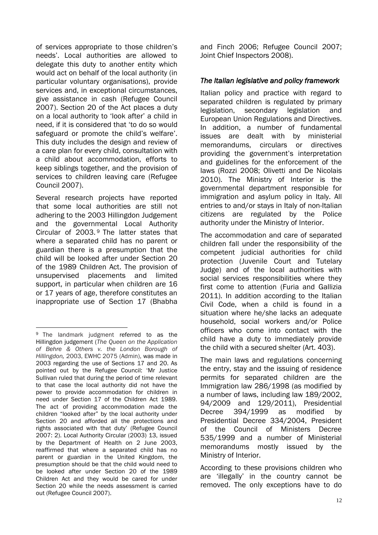of services appropriate to those children's needs'. Local authorities are allowed to delegate this duty to another entity which would act on behalf of the local authority (in particular voluntary organisations), provide services and, in exceptional circumstances, give assistance in cash (Refugee Council 2007). Section 20 of the Act places a duty on a local authority to 'look after' a child in need, if it is considered that 'to do so would safeguard or promote the child's welfare'. This duty includes the design and review of a care plan for every child, consultation with a child about accommodation, efforts to keep siblings together, and the provision of services to children leaving care (Refugee Council 2007).

Several research projects have reported that some local authorities are still not adhering to the 2003 Hillingdon Judgement and the governmental Local Authority Circular of 2003. <sup>9</sup> The latter states that where a separated child has no parent or guardian there is a presumption that the child will be looked after under Section 20 of the 1989 Children Act. The provision of unsupervised placements and limited support, in particular when children are 16 or 17 years of age, therefore constitutes an inappropriate use of Section 17 (Bhabha

1

and Finch 2006; Refugee Council 2007; Joint Chief Inspectors 2008).

## *The Italian legislative and policy framework*

Italian policy and practice with regard to separated children is regulated by primary legislation, secondary legislation and European Union Regulations and Directives. In addition, a number of fundamental issues are dealt with by ministerial memorandums, circulars or directives providing the government's interpretation and guidelines for the enforcement of the laws (Rozzi 2008; Olivetti and De Nicolais 2010). The Ministry of Interior is the governmental department responsible for immigration and asylum policy in Italy. All entries to and/or stays in Italy of non-Italian citizens are regulated by the Police authority under the Ministry of Interior.

The accommodation and care of separated children fall under the responsibility of the competent judicial authorities for child protection (Juvenile Court and Tutelary Judge) and of the local authorities with social services responsibilities where they first come to attention (Furia and Gallizia 2011). In addition according to the Italian Civil Code, when a child is found in a situation where he/she lacks an adequate household, social workers and/or Police officers who come into contact with the child have a duty to immediately provide the child with a secured shelter (Art. 403).

The main laws and regulations concerning the entry, stay and the issuing of residence permits for separated children are the Immigration law 286/1998 (as modified by a number of laws, including law 189/2002, 94/2009 and 129/2011), Presidential Decree 394/1999 as modified by Presidential Decree 334/2004, President of the Council of Ministers Decree 535/1999 and a number of Ministerial memorandums mostly issued by the Ministry of Interior.

According to these provisions children who are 'illegally' in the country cannot be removed. The only exceptions have to do

<sup>&</sup>lt;sup>9</sup> The landmark judgment referred to as the Hillingdon judgement (*The Queen on the Application of Behre & Others v. the London Borough of Hillingdon,* 2003, EWHC 2075 (Admin), was made in 2003 regarding the use of Sections 17 and 20. As pointed out by the Refugee Council: 'Mr Justice Sullivan ruled that during the period of time relevant to that case the local authority did not have the power to provide accommodation for children in need under Section 17 of the Children Act 1989. The act of providing accommodation made the children "looked after" by the local authority under Section 20 and afforded all the protections and rights associated with that duty' (Refugee Council 2007: 2). Local Authority Circular (2003) 13, issued by the Department of Health on 2 June 2003, reaffirmed that where a separated child has no parent or guardian in the United Kingdom, the presumption should be that the child would need to be looked after under Section 20 of the 1989 Children Act and they would be cared for under Section 20 while the needs assessment is carried out (Refugee Council 2007).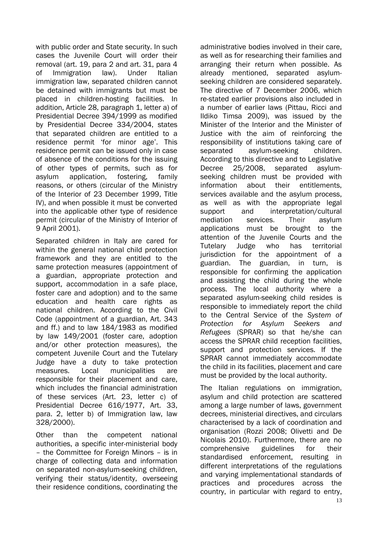with public order and State security. In such cases the Juvenile Court will order their removal (art. 19, para 2 and art. 31, para 4 of Immigration law). Under Italian immigration law, separated children cannot be detained with immigrants but must be placed in children-hosting facilities. In addition, Article 28, paragraph 1, letter a) of Presidential Decree 394/1999 as modified by Presidential Decree 334/2004, states that separated children are entitled to a residence permit 'for minor age'. This residence permit can be issued only in case of absence of the conditions for the issuing of other types of permits, such as for asylum application, fostering, family reasons, or others (circular of the Ministry of the Interior of 23 December 1999, Title IV), and when possible it must be converted into the applicable other type of residence permit (circular of the Ministry of Interior of 9 April 2001).

Separated children in Italy are cared for within the general national child protection framework and they are entitled to the same protection measures (appointment of a guardian, appropriate protection and support, accommodation in a safe place, foster care and adoption) and to the same education and health care rights as national children. According to the Civil Code (appointment of a guardian, Art. 343 and ff.) and to law 184/1983 as modified by law 149/2001 (foster care, adoption and/or other protection measures), the competent Juvenile Court and the Tutelary Judge have a duty to take protection measures. Local municipalities are responsible for their placement and care, which includes the financial administration of these services (Art. 23, letter c) of Presidential Decree 616/1977, Art. 33, para. 2, letter b) of Immigration law, law 328/2000).

Other than the competent national authorities, a specific inter-ministerial body – the Committee for Foreign Minors – is in charge of collecting data and information on separated non-asylum-seeking children, verifying their status/identity, overseeing their residence conditions, coordinating the

administrative bodies involved in their care, as well as for researching their families and arranging their return when possible. As already mentioned, separated asylumseeking children are considered separately. The directive of 7 December 2006, which re-stated earlier provisions also included in a number of earlier laws (Pittau, Ricci and Ildiko Timsa 2009), was issued by the Minister of the Interior and the Minister of Justice with the aim of reinforcing the responsibility of institutions taking care of separated asylum-seeking children. According to this directive and to Legislative Decree 25/2008, separated asylumseeking children must be provided with information about their entitlements, services available and the asylum process, as well as with the appropriate legal support and interpretation/cultural mediation services. Their asylum applications must be brought to the attention of the Juvenile Courts and the Tutelary Judge who has territorial jurisdiction for the appointment of a guardian. The guardian, in turn, is responsible for confirming the application and assisting the child during the whole process. The local authority where a separated asylum-seeking child resides is responsible to immediately report the child to the Central Service of the *System of Protection for Asylum Seekers and Refugees* (SPRAR) so that he/she can access the SPRAR child reception facilities, support and protection services. If the SPRAR cannot immediately accommodate the child in its facilities, placement and care must be provided by the local authority.

The Italian regulations on immigration, asylum and child protection are scattered among a large number of laws, government decrees, ministerial directives, and circulars characterised by a lack of coordination and organisation (Rozzi 2008; Olivetti and De Nicolais 2010). Furthermore, there are no comprehensive guidelines for their standardised enforcement, resulting in different interpretations of the regulations and varying implementational standards of practices and procedures across the country, in particular with regard to entry,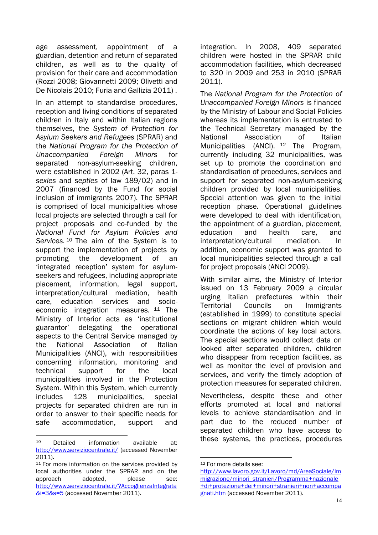age assessment, appointment of a guardian, detention and return of separated children, as well as to the quality of provision for their care and accommodation (Rozzi 2008; Giovannetti 2009; Olivetti and De Nicolais 2010; Furia and Gallizia 2011) .

In an attempt to standardise procedures, reception and living conditions of separated children in Italy and within Italian regions themselves, the *System of Protection for Asylum Seekers and Refugees* (SPRAR) and the *National Program for the Protection of Unaccompanied Foreign Minors* for separated non-asylum-seeking children, were established in 2002 (Art. 32, paras 1 *sexies* and s*epties* of law 189/02) and in 2007 (financed by the Fund for social inclusion of immigrants 2007). The SPRAR is comprised of local municipalities whose local projects are selected through a call for project proposals and co-funded by the *National Fund for Asylum Policies and Services.* <sup>10</sup> The aim of the System is to support the implementation of projects by promoting the development of an 'integrated reception' system for asylumseekers and refugees, including appropriate placement, information, legal support, interpretation/cultural mediation, health care, education services and socioeconomic integration measures. <sup>11</sup> The Ministry of Interior acts as 'institutional guarantor' delegating the operational aspects to the Central Service managed by the National Association of Italian Municipalities (ANCI), with responsibilities concerning information, monitoring and technical support for the local municipalities involved in the Protection System. Within this System, which currently includes 128 municipalities, special projects for separated children are run in order to answer to their specific needs for safe accommodation, support and

integration. In 2008, 409 separated children were hosted in the SPRAR child accommodation facilities, which decreased to 320 in 2009 and 253 in 2010 (SPRAR 2011).

The *National Program for the Protection of Unaccompanied Foreign Minors* is financed by the Ministry of Labour and Social Policies whereas its implementation is entrusted to the Technical Secretary managed by the National Association of Italian Municipalities (ANCI). <sup>12</sup> The Program, currently including 32 municipalities, was set up to promote the coordination and standardisation of procedures, services and support for separated non-asylum-seeking children provided by local municipalities. Special attention was given to the initial reception phase. Operational guidelines were developed to deal with identification, the appointment of a guardian, placement, education and health care, and interpretation/cultural mediation. In addition, economic support was granted to local municipalities selected through a call for project proposals (ANCI 2009).

With similar aims, the Ministry of Interior issued on 13 February 2009 a circular urging Italian prefectures within their Territorial Councils on Immigrants (established in 1999) to constitute special sections on migrant children which would coordinate the actions of key local actors. The special sections would collect data on looked after separated children, children who disappear from reception facilities, as well as monitor the level of provision and services, and verify the timely adoption of protection measures for separated children.

Nevertheless, despite these and other efforts promoted at local and national levels to achieve standardisation and in part due to the reduced number of separated children who have access to these systems, the practices, procedures

 $10$ Detailed information available at: <http://www.serviziocentrale.it/> (accessed November 2011).

<sup>&</sup>lt;sup>11</sup> For more information on the services provided by local authorities under the SPRAR and on the approach adopted, please see: [http://www.serviziocentrale.it/?AccoglienzaIntegrata](http://www.serviziocentrale.it/?AccoglienzaIntegrata&i=3&s=5) [&i=3&s=5](http://www.serviziocentrale.it/?AccoglienzaIntegrata&i=3&s=5) (accessed November 2011).

<sup>1</sup> <sup>12</sup> For more details see:

[http://www.lavoro.gov.it/Lavoro/md/AreaSociale/Im](http://www.lavoro.gov.it/Lavoro/md/AreaSociale/Immigrazione/minori_stranieri/Programma+nazionale+di+protezione+dei+minori+stranieri+non+accompagnati.htm) [migrazione/minori\\_stranieri/Programma+nazionale](http://www.lavoro.gov.it/Lavoro/md/AreaSociale/Immigrazione/minori_stranieri/Programma+nazionale+di+protezione+dei+minori+stranieri+non+accompagnati.htm) [+di+protezione+dei+minori+stranieri+non+accompa](http://www.lavoro.gov.it/Lavoro/md/AreaSociale/Immigrazione/minori_stranieri/Programma+nazionale+di+protezione+dei+minori+stranieri+non+accompagnati.htm) [gnati.htm](http://www.lavoro.gov.it/Lavoro/md/AreaSociale/Immigrazione/minori_stranieri/Programma+nazionale+di+protezione+dei+minori+stranieri+non+accompagnati.htm) (accessed November 2011).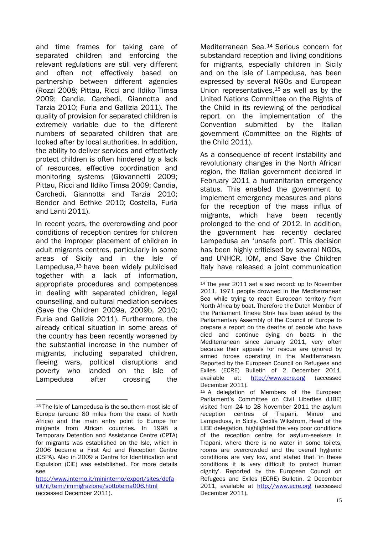and time frames for taking care of separated children and enforcing the relevant regulations are still very different and often not effectively based on partnership between different agencies (Rozzi 2008; Pittau, Ricci and Ildiko Timsa 2009; Candia, Carchedi, Giannotta and Tarzia 2010; Furia and Gallizia 2011). The quality of provision for separated children is extremely variable due to the different numbers of separated children that are looked after by local authorities. In addition, the ability to deliver services and effectively protect children is often hindered by a lack of resources, effective coordination and monitoring systems (Giovannetti 2009; Pittau, Ricci and Ildiko Timsa 2009; Candia, Carchedi, Giannotta and Tarzia 2010; Bender and Bethke 2010; Costella, Furia and Lanti 2011).

In recent years, the overcrowding and poor conditions of reception centres for children and the improper placement of children in adult migrants centres, particularly in some areas of Sicily and in the Isle of Lampedusa,<sup>13</sup> have been widely publicised together with a lack of information, appropriate procedures and competences in dealing with separated children, legal counselling, and cultural mediation services (Save the Children 2009a, 2009b, 2010; Furia and Gallizia 2011). Furthermore, the already critical situation in some areas of the country has been recently worsened by the substantial increase in the number of migrants, including separated children, fleeing wars, political disruptions and poverty who landed on the Isle of Lampedusa after crossing the

<u>.</u>

Mediterranean Sea.<sup>14</sup> Serious concern for substandard reception and living conditions for migrants, especially children in Sicily and on the Isle of Lampedusa, has been expressed by several NGOs and European Union representatives,  $15$  as well as by the United Nations Committee on the Rights of the Child in its reviewing of the periodical report on the implementation of the Convention submitted by the Italian government (Committee on the Rights of the Child 2011).

As a consequence of recent instability and revolutionary changes in the North African region, the Italian government declared in February 2011 a humanitarian emergency status. This enabled the government to implement emergency measures and plans for the reception of the mass influx of migrants, which have been recently prolonged to the end of 2012. In addition, the government has recently declared Lampedusa an 'unsafe port'. This decision has been highly criticised by several NGOs, and UNHCR, IOM, and Save the Children Italy have released a joint communication

<sup>13</sup> The Isle of Lampedusa is the southern-most isle of Europe (around 80 miles from the coast of North Africa) and the main entry point to Europe for migrants from African countries. In 1998 a Temporary Detention and Assistance Centre (CPTA) for migrants was established on the Isle, which in 2006 became a First Aid and Reception Centre (CSPA). Also in 2009 a Centre for Identification and Expulsion (CIE) was established. For more details see

[http://www.interno.it/mininterno/export/sites/defa](http://www.interno.it/mininterno/export/sites/default/it/temi/immigrazione/sottotema006.html) [ult/it/temi/immigrazione/sottotema006.html](http://www.interno.it/mininterno/export/sites/default/it/temi/immigrazione/sottotema006.html) (accessed December 2011).

<sup>&</sup>lt;u>.</u> <sup>14</sup> The year 2011 set a sad record: up to November 2011, 1971 people drowned in the Mediterranean Sea while trying to reach European territory from North Africa by boat. Therefore the Dutch Member of the Parliament Tineke Strik has been asked by the Parliamentary Assembly of the Council of Europe to prepare a report on the deaths of people who have died and continue dying on boats in the Mediterranean since January 2011, very often because their appeals for rescue are ignored by armed forces operating in the Mediterranean. Reported by the European Council on Refugees and Exiles (ECRE) Bulletin of 2 December 2011, available at: [http://www.ecre.org](http://www.ecre.org/) (accessed December 2011).

<sup>&</sup>lt;sup>15</sup> A delegation of Members of the European Parliament's Committee on Civil Liberties (LIBE) visited from 24 to 28 November 2011 the asylum reception centres of Trapani, Mineo and Lampedusa, in Sicily. Cecilia Wikstrom, Head of the LIBE delegation, highlighted the very poor conditions of the reception centre for asylum-seekers in Trapani, where there is no water in some toilets, rooms are overcrowded and the overall hygienic conditions are very low, and stated that 'in these conditions it is very difficult to protect human dignity'. Reported by the European Council on Refugees and Exiles (ECRE) Bulletin, 2 December 2011, available at [http://www.ecre.org](http://www.ecre.org/) (accessed December 2011).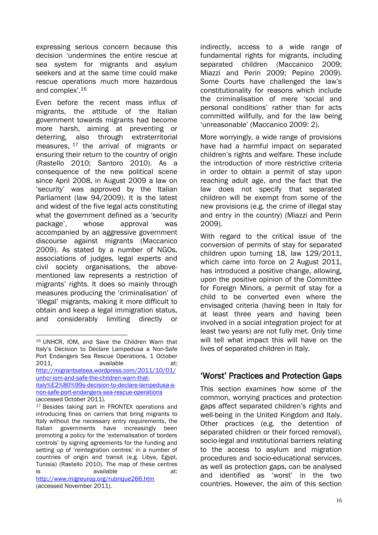expressing serious concern because this decision 'undermines the entire rescue at sea system for migrants and asylum seekers and at the same time could make rescue operations much more hazardous and complex'.<sup>16</sup>

Even before the recent mass influx of migrants, the attitude of the Italian government towards migrants had become more harsh, aiming at preventing or deterring, also through extraterritorial measures, <sup>17</sup> the arrival of migrants or ensuring their return to the country of origin (Rastello 2010; Santoro 2010). As a consequence of the new political scene since April 2008, in August 2009 a law on 'security' was approved by the Italian Parliament (law 94/2009). It is the latest and widest of the five legal acts constituting what the government defined as a 'security package', whose approval was accompanied by an aggressive government discourse against migrants (Maccanico 2009). As stated by a number of NGOs, associations of judges, legal experts and civil society organisations, the abovementioned law represents a restriction of migrants' rights. It does so mainly through measures producing the 'criminalisation' of 'illegal' migrants, making it more difficult to obtain and keep a legal immigration status, and considerably limiting directly or

indirectly, access to a wide range of fundamental rights for migrants, including separated children (Maccanico 2009; Miazzi and Perin 2009; Pepino 2009). Some Courts have challenged the law's constitutionality for reasons which include the criminalisation of mere 'social and personal conditions' rather than for acts committed willfully, and for the law being 'unreasonable' (Maccanico 2009: 2).

More worryingly, a wide range of provisions have had a harmful impact on separated children's rights and welfare. These include the introduction of more restrictive criteria in order to obtain a permit of stay upon reaching adult age, and the fact that the law does not specify that separated children will be exempt from some of the new provisions (e.g. the crime of illegal stay and entry in the country) (Miazzi and Perin 2009).

With regard to the critical issue of the conversion of permits of stay for separated children upon turning 18, law 129/2011, which came into force on 2 August 2011, has introduced a positive change, allowing, upon the positive opinion of the Committee for Foreign Minors, a permit of stay for a child to be converted even where the envisaged criteria (having been in Italy for at least three years and having been involved in a social integration project for at least two years) are not fully met. Only time will tell what impact this will have on the lives of separated children in Italy.

# 'Worst' Practices and Protection Gaps

This section examines how some of the common, worrying practices and protection gaps affect separated children's rights and well-being in the United Kingdom and Italy. Other practices (e.g. the detention of separated children or their forced removal), socio-legal and institutional barriers relating to the access to asylum and migration procedures and socio-educational services, as well as protection gaps, can be analysed and identified as 'worst' in the two countries. However, the aim of this section

<sup>&</sup>lt;u>.</u> <sup>16</sup> UNHCR, IOM, and Save the Children Warn that Italy's Decision to Declare Lampedusa a Non-Safe Port Endangers Sea Rescue Operations, 1 October 2011. **available** at: [http://migrantsatsea.wordpress.com/2011/10/01/](http://migrantsatsea.wordpress.com/2011/10/01/unhcr-iom-and-safe-the-children-warn-that-italy%E2%80%99s-decision-to-declare-lampedusa-a-non-safe-port-endangers-sea-rescue-operations) [unhcr-iom-and-safe-the-children-warn-that](http://migrantsatsea.wordpress.com/2011/10/01/unhcr-iom-and-safe-the-children-warn-that-italy%E2%80%99s-decision-to-declare-lampedusa-a-non-safe-port-endangers-sea-rescue-operations)[italy%E2%80%99s-decision-to-declare-lampedusa-a](http://migrantsatsea.wordpress.com/2011/10/01/unhcr-iom-and-safe-the-children-warn-that-italy%E2%80%99s-decision-to-declare-lampedusa-a-non-safe-port-endangers-sea-rescue-operations)[non-safe-port-endangers-sea-rescue-operations](http://migrantsatsea.wordpress.com/2011/10/01/unhcr-iom-and-safe-the-children-warn-that-italy%E2%80%99s-decision-to-declare-lampedusa-a-non-safe-port-endangers-sea-rescue-operations) (accessed October 2011).

<sup>&</sup>lt;sup>17</sup> Besides taking part in FRONTEX operations and introducing fines on carriers that bring migrants to Italy without the necessary entry requirements, the Italian governments have increasingly been promoting a policy for the 'externalisation of borders controls' by signing agreements for the funding and setting up of 'reintegration centres' in a number of countries of origin and transit (e.g. Libya, Egypt, Tunisia) (Rastello 2010). The map of these centres is available at: <http://www.migreurop.org/rubrique266.htm> (accessed November 2011).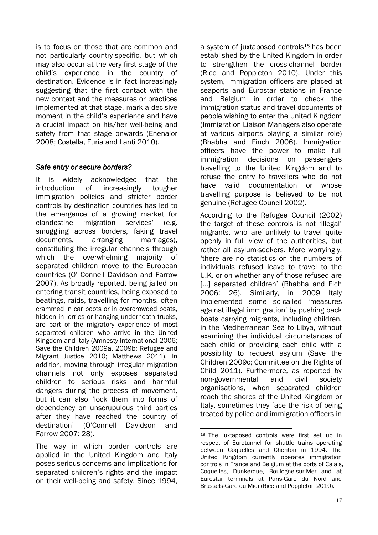is to focus on those that are common and not particularly country-specific, but which may also occur at the very first stage of the child's experience in the country of destination. Evidence is in fact increasingly suggesting that the first contact with the new context and the measures or practices implemented at that stage, mark a decisive moment in the child's experience and have a crucial impact on his/her well-being and safety from that stage onwards (Enenajor 2008; Costella, Furia and Lanti 2010).

## *Safe entry or secure borders?*

It is widely acknowledged that the introduction of increasingly tougher immigration policies and stricter border controls by destination countries has led to the emergence of a growing market for clandestine 'migration services' (e.g. smuggling across borders, faking travel documents, arranging marriages), constituting the irregular channels through which the overwhelming majority of separated children move to the European countries (O' Connell Davidson and Farrow 2007). As broadly reported, being jailed on entering transit countries, being exposed to beatings, raids, travelling for months, often crammed in car boots or in overcrowded boats, hidden in lorries or hanging underneath trucks, are part of the migratory experience of most separated children who arrive in the United Kingdom and Italy (Amnesty International 2006; Save the Children 2009a, 2009b; Refugee and Migrant Justice 2010; Matthews 2011). In addition, moving through irregular migration channels not only exposes separated children to serious risks and harmful dangers during the process of movement, but it can also 'lock them into forms of dependency on unscrupulous third parties after they have reached the country of destination' (O'Connell Davidson and Farrow 2007: 28).

The way in which border controls are applied in the United Kingdom and Italy poses serious concerns and implications for separated children's rights and the impact on their well-being and safety. Since 1994,

a system of juxtaposed controls<sup>18</sup> has been established by the United Kingdom in order to strengthen the cross-channel border (Rice and Poppleton 2010). Under this system, immigration officers are placed at seaports and Eurostar stations in France and Belgium in order to check the immigration status and travel documents of people wishing to enter the United Kingdom (Immigration Liaison Managers also operate at various airports playing a similar role) (Bhabha and Finch 2006). Immigration officers have the power to make full immigration decisions on passengers travelling to the United Kingdom and to refuse the entry to travellers who do not have valid documentation or whose travelling purpose is believed to be not genuine (Refugee Council 2002).

According to the Refugee Council (2002) the target of these controls is not 'illegal' migrants, who are unlikely to travel quite openly in full view of the authorities, but rather all asylum-seekers. More worryingly, 'there are no statistics on the numbers of individuals refused leave to travel to the U.K. or on whether any of those refused are [...] separated children' (Bhabha and Fich 2006: 26). Similarly, in 2009 Italy implemented some so-called 'measures against illegal immigration' by pushing back boats carrying migrants, including children, in the Mediterranean Sea to Libya, without examining the individual circumstances of each child or providing each child with a possibility to request asylum (Save the Children 2009c; Committee on the Rights of Child 2011). Furthermore, as reported by non-governmental and civil society organisations, when separated children reach the shores of the United Kingdom or Italy, sometimes they face the risk of being treated by police and immigration officers in

1

<sup>18</sup> The juxtaposed controls were first set up in respect of Eurotunnel for shuttle trains operating between Coquelles and Cheriton in 1994. The United Kingdom currently operates immigration controls in France and Belgium at the ports of Calais, Coquelles, Dunkerque, Boulogne-sur-Mer and at Eurostar terminals at Paris-Gare du Nord and Brussels-Gare du Midi (Rice and Poppleton 2010).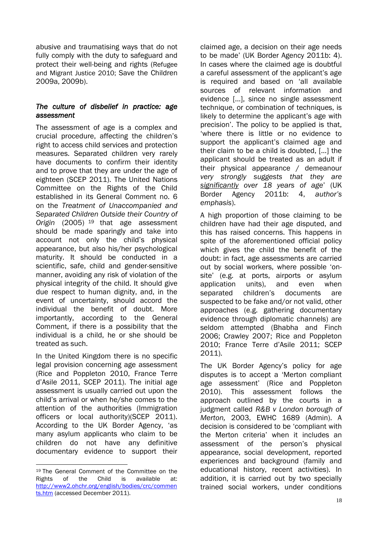abusive and traumatising ways that do not fully comply with the duty to safeguard and protect their well-being and rights (Refugee and Migrant Justice 2010; Save the Children 2009a, 2009b).

## *The culture of disbelief in practice: age assessment*

The assessment of age is a complex and crucial procedure, affecting the children's right to access child services and protection measures. Separated children very rarely have documents to confirm their identity and to prove that they are under the age of eighteen (SCEP 2011). The United Nations Committee on the Rights of the Child established in its General Comment no. 6 on the *Treatment of Unaccompanied and Separated Children Outside their Country of Origin* (2005) <sup>19</sup> that age assessment should be made sparingly and take into account not only the child's physical appearance, but also his/her psychological maturity. It should be conducted in a scientific, safe, child and gender-sensitive manner, avoiding any risk of violation of the physical integrity of the child. It should give due respect to human dignity, and, in the event of uncertainty, should accord the individual the benefit of doubt. More importantly, according to the General Comment, if there is a possibility that the individual is a child, he or she should be treated as such.

In the United Kingdom there is no specific legal provision concerning age assessment (Rice and Poppleton 2010, France Terre d'Asile 2011, SCEP 2011). The initial age assessment is usually carried out upon the child's arrival or when he/she comes to the attention of the authorities (Immigration officers or local authority)(SCEP 2011). According to the UK Border Agency, 'as many asylum applicants who claim to be children do not have any definitive documentary evidence to support their

claimed age, a decision on their age needs to be made' (UK Border Agency 2011b: 4). In cases where the claimed age is doubtful a careful assessment of the applicant's age is required and based on 'all available sources of relevant information and evidence [...], since no single assessment technique, or combination of techniques, is likely to determine the applicant's age with precision'. The policy to be applied is that, 'where there is little or no evidence to support the applicant's claimed age and their claim to be a child is doubted, [...] the applicant should be treated as an adult if their physical appearance / demeanour *very strongly suggests that they are significantly over 18 years of age*' (UK Border Agency 2011b: 4, *author's emphasis*).

A high proportion of those claiming to be children have had their age disputed, and this has raised concerns. This happens in spite of the aforementioned official policy which gives the child the benefit of the doubt: in fact, age assessments are carried out by social workers, where possible 'onsite' (e.g. at ports, airports or asylum application units), and even when separated children's documents are suspected to be fake and/or not valid, other approaches (e.g. gathering documentary evidence through diplomatic channels) are seldom attempted (Bhabha and Finch 2006; Crawley 2007; Rice and Poppleton 2010; France Terre d'Asile 2011; SCEP 2011).

The UK Border Agency's policy for age disputes is to accept a 'Merton compliant age assessment' (Rice and Poppleton 2010). This assessment follows the approach outlined by the courts in a judgment called *R&B v London borough of Merton,* 2003, EWHC 1689 (Admin). A decision is considered to be 'compliant with the Merton criteria' when it includes an assessment of the person's physical appearance, social development, reported experiences and background (family and educational history, recent activities). In addition, it is carried out by two specially trained social workers, under conditions

<sup>1</sup> <sup>19</sup> The General Comment of the Committee on the Rights of the Child is available at: [http://www2.ohchr.org/english/bodies/crc/commen](http://www2.ohchr.org/english/bodies/crc/comments.htm) [ts.htm](http://www2.ohchr.org/english/bodies/crc/comments.htm) (accessed December 2011).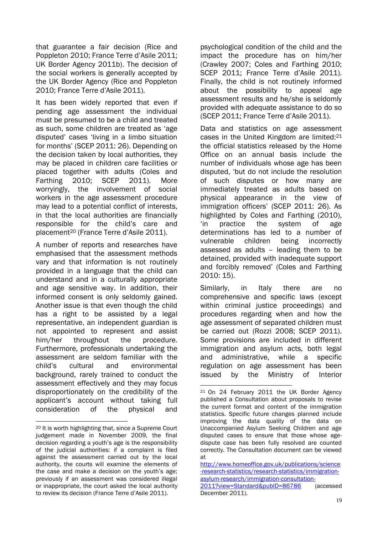that guarantee a fair decision (Rice and Poppleton 2010; France Terre d'Asile 2011; UK Border Agency 2011b). The decision of the social workers is generally accepted by the UK Border Agency (Rice and Poppleton 2010; France Terre d'Asile 2011).

It has been widely reported that even if pending age assessment the individual must be presumed to be a child and treated as such, some children are treated as 'age disputed' cases 'living in a limbo situation for months' (SCEP 2011: 26). Depending on the decision taken by local authorities, they may be placed in children care facilities or placed together with adults (Coles and Farthing 2010; SCEP 2011). More worryingly, the involvement of social workers in the age assessment procedure may lead to a potential conflict of interests, in that the local authorities are financially responsible for the child's care and placement <sup>20</sup> (France Terre d'Asile 2011).

A number of reports and researches have emphasised that the assessment methods vary and that information is not routinely provided in a language that the child can understand and in a culturally appropriate and age sensitive way. In addition, their informed consent is only seldomly gained. Another issue is that even though the child has a right to be assisted by a legal representative, an independent guardian is not appointed to represent and assist him/her throughout the procedure. Furthermore, professionals undertaking the assessment are seldom familiar with the child's cultural and environmental background, rarely trained to conduct the assessment effectively and they may focus disproportionately on the credibility of the applicant's account without taking full consideration of the physical and

1

psychological condition of the child and the impact the procedure has on him/her (Crawley 2007; Coles and Farthing 2010; SCEP 2011; France Terre d'Asile 2011). Finally, the child is not routinely informed about the possibility to appeal age assessment results and he/she is seldomly provided with adequate assistance to do so (SCEP 2011; France Terre d'Asile 2011).

Data and statistics on age assessment cases in the United Kingdom are limited:<sup>21</sup> the official statistics released by the Home Office on an annual basis include the number of individuals whose age has been disputed, 'but do not include the resolution of such disputes or how many are immediately treated as adults based on physical appearance in the view of immigration officers' (SCEP 2011: 26). As highlighted by Coles and Farthing (2010), 'in practice the system of age determinations has led to a number of vulnerable children being incorrectly assessed as adults – leading them to be detained, provided with inadequate support and forcibly removed' (Coles and Farthing 2010: 15).

Similarly, in Italy there are no comprehensive and specific laws (except within criminal justice proceedings) and procedures regarding when and how the age assessment of separated children must be carried out (Rozzi 2008; SCEP 2011). Some provisions are included in different immigration and asylum acts, both legal and administrative, while a specific regulation on age assessment has been issued by the Ministry of Interior

<sup>20</sup> It is worth highlighting that, since a Supreme Court judgement made in November 2009, the final decision regarding a youth's age is the responsibility of the judicial authorities: if a complaint is filed against the assessment carried out by the local authority, the courts will examine the elements of the case and make a decision on the youth's age; previously if an assessment was considered illegal or inappropriate, the court asked the local authority to review its decision (France Terre d'Asile 2011).

<sup>1</sup> <sup>21</sup> On 24 February 2011 the UK Border Agency published a Consultation about proposals to revise the current format and content of the immigration statistics. Specific future changes planned include improving the data quality of the data on Unaccompanied Asylum Seeking Children and age disputed cases to ensure that those whose agedispute case has been fully resolved are counted correctly. The Consultation document can be viewed at

[http://www.homeoffice.gov.uk/publications/science](http://www.homeoffice.gov.uk/publications/science-research-statistics/research-statistics/immigration-asylum-research/immigration-consultation-2011?view=Standard&pubID=86786) [-research-statistics/research-statistics/immigration](http://www.homeoffice.gov.uk/publications/science-research-statistics/research-statistics/immigration-asylum-research/immigration-consultation-2011?view=Standard&pubID=86786)[asylum-research/immigration-consultation-](http://www.homeoffice.gov.uk/publications/science-research-statistics/research-statistics/immigration-asylum-research/immigration-consultation-2011?view=Standard&pubID=86786)[2011?view=Standard&pubID=86786](http://www.homeoffice.gov.uk/publications/science-research-statistics/research-statistics/immigration-asylum-research/immigration-consultation-2011?view=Standard&pubID=86786) (accessed December 2011).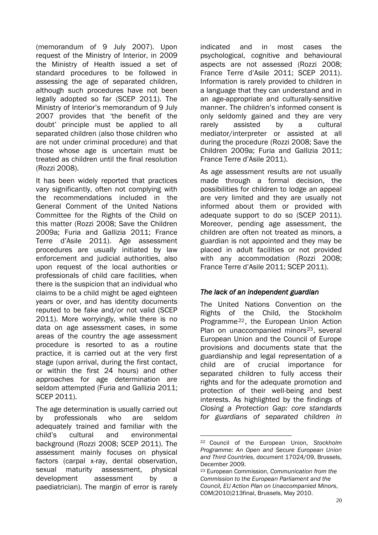(memorandum of 9 July 2007). Upon request of the Ministry of Interior, in 2009 the Ministry of Health issued a set of standard procedures to be followed in assessing the age of separated children, although such procedures have not been legally adopted so far (SCEP 2011). The Ministry of Interior's memorandum of 9 July 2007 provides that 'the benefit of the doubt' principle must be applied to all separated children (also those children who are not under criminal procedure) and that those whose age is uncertain must be treated as children until the final resolution (Rozzi 2008).

It has been widely reported that practices vary significantly, often not complying with the recommendations included in the General Comment of the United Nations Committee for the Rights of the Child on this matter (Rozzi 2008; Save the Children 2009a; Furia and Gallizia 2011; France Terre d'Asile 2011). Age assessment procedures are usually initiated by law enforcement and judicial authorities, also upon request of the local authorities or professionals of child care facilities, when there is the suspicion that an individual who claims to be a child might be aged eighteen years or over, and has identity documents reputed to be fake and/or not valid (SCEP 2011). More worryingly, while there is no data on age assessment cases, in some areas of the country the age assessment procedure is resorted to as a routine practice, it is carried out at the very first stage (upon arrival, during the first contact, or within the first 24 hours) and other approaches for age determination are seldom attempted (Furia and Gallizia 2011; SCEP 2011).

The age determination is usually carried out by professionals who are seldom adequately trained and familiar with the child's cultural and environmental background (Rozzi 2008; SCEP 2011). The assessment mainly focuses on physical factors (carpal x-ray, dental observation, sexual maturity assessment, physical development assessment by a paediatrician). The margin of error is rarely indicated and in most cases the psychological, cognitive and behavioural aspects are not assessed (Rozzi 2008; France Terre d'Asile 2011; SCEP 2011). Information is rarely provided to children in a language that they can understand and in an age-appropriate and culturally-sensitive manner. The children's informed consent is only seldomly gained and they are very rarely assisted by a cultural mediator/interpreter or assisted at all during the procedure (Rozzi 2008; Save the Children 2009a; Furia and Gallizia 2011; France Terre d'Asile 2011).

As age assessment results are not usually made through a formal decision, the possibilities for children to lodge an appeal are very limited and they are usually not informed about them or provided with adequate support to do so (SCEP 2011). Moreover, pending age assessment, the children are often not treated as minors, a guardian is not appointed and they may be placed in adult facilities or not provided with any accommodation (Rozzi 2008; France Terre d'Asile 2011; SCEP 2011).

## *The lack of an independent guardian*

The United Nations Convention on the Rights of the Child, the Stockholm Programme22, the European Union Action Plan on unaccompanied minors<sup>23</sup>, several European Union and the Council of Europe provisions and documents state that the guardianship and legal representation of a child are of crucial importance for separated children to fully access their rights and for the adequate promotion and protection of their well-being and best interests. As highlighted by the findings of *Closing a Protection Gap: core standards for guardians of separated children in* 

1

<sup>22</sup> Council of the European Union, *Stockholm Programme: An Open and Secure European Union and Third Countries*, document 17024/09, Brussels, December 2009.

<sup>23</sup> European Commission, *Communication from the Commission to the European Parliament and the Council, EU Action Plan on Unaccompanied Minors*, COM(2010)213final, Brussels, May 2010.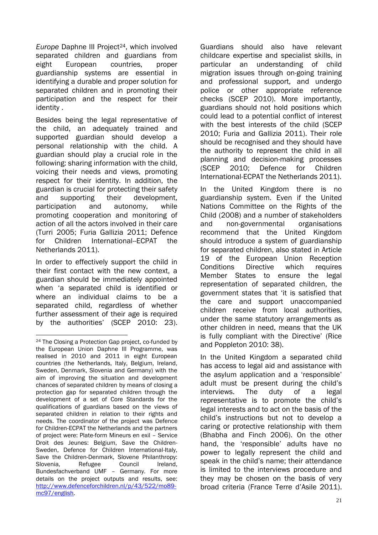*Europe* Daphne III Project<sup>24</sup>, which involved separated children and guardians from eight European countries, proper guardianship systems are essential in identifying a durable and proper solution for separated children and in promoting their participation and the respect for their identity .

Besides being the legal representative of the child, an adequately trained and supported guardian should develop a personal relationship with the child. A guardian should play a crucial role in the following: sharing information with the child, voicing their needs and views, promoting respect for their identity. In addition, the guardian is crucial for protecting their safety and supporting their development, participation and autonomy, while promoting cooperation and monitoring of action of all the actors involved in their care (Turri 2005; Furia Gallizia 2011; Defence for Children International-FCPAT the Netherlands 2011).

In order to effectively support the child in their first contact with the new context, a guardian should be immediately appointed when 'a separated child is identified or where an individual claims to be a separated child, regardless of whether further assessment of their age is required by the authorities' (SCEP 2010: 23).

<u>.</u>

Guardians should also have relevant childcare expertise and specialist skills, in particular an understanding of child migration issues through on-going training and professional support, and undergo police or other appropriate reference checks (SCEP 2010). More importantly, guardians should not hold positions which could lead to a potential conflict of interest with the best interests of the child (SCEP 2010; Furia and Gallizia 2011). Their role should be recognised and they should have the authority to represent the child in all planning and decision-making processes (SCEP 2010; Defence for Children International-ECPAT the Netherlands 2011).

In the United Kingdom there is no guardianship system. Even if the United Nations Committee on the Rights of the Child (2008) and a number of stakeholders and non-governmental organisations recommend that the United Kingdom should introduce a system of guardianship for separated children, also stated in Article 19 of the European Union Reception Conditions Directive which requires Member States to ensure the legal representation of separated children, the government states that 'it is satisfied that the care and support unaccompanied children receive from local authorities, under the same statutory arrangements as other children in need, means that the UK is fully compliant with the Directive' (Rice and Poppleton 2010: 38).

In the United Kingdom a separated child has access to legal aid and assistance with the asylum application and a 'responsible' adult must be present during the child's interviews. The duty of a legal representative is to promote the child's legal interests and to act on the basis of the child's instructions but not to develop a caring or protective relationship with them (Bhabha and Finch 2006). On the other hand, the 'responsible' adults have no power to legally represent the child and speak in the child's name; their attendance is limited to the interviews procedure and they may be chosen on the basis of very broad criteria (France Terre d'Asile 2011).

<sup>24</sup> The Closing a Protection Gap project, co-funded by the European Union Daphne III Programme, was realised in 2010 and 2011 in eight European countries (the Netherlands, Italy, Belgium, Ireland, Sweden, Denmark, Slovenia and Germany) with the aim of improving the situation and development chances of separated children by means of closing a protection gap for separated children through the development of a set of Core Standards for the qualifications of guardians based on the views of separated children in relation to their rights and needs. The coordinator of the project was Defence for Children-ECPAT the Netherlands and the partners of project were: Plate-form Mineurs en exil – Service Droit des Jeunes: Belgium, Save the Children-Sweden, Defence for Children International-Italy, Save the Children-Denmark, Slovene Philanthropy: Slovenia, Refugee Council Ireland, Bundesfachverband UMF – Germany. For more details on the project outputs and results, see: [http://www.defenceforchildren.nl/p/43/522/mo89](http://www.defenceforchildren.nl/p/43/522/mo89-mc97/english) [mc97/english.](http://www.defenceforchildren.nl/p/43/522/mo89-mc97/english)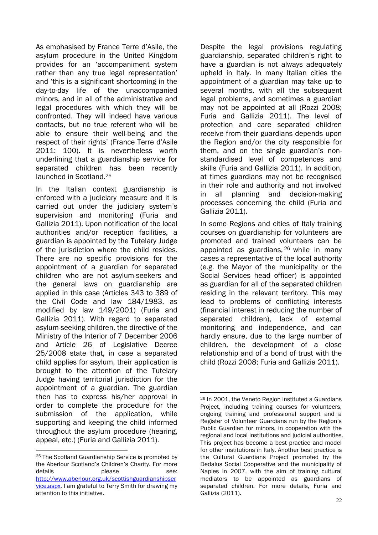As emphasised by France Terre d'Asile, the asylum procedure in the United Kingdom provides for an 'accompaniment system rather than any true legal representation' and 'this is a significant shortcoming in the day-to-day life of the unaccompanied minors, and in all of the administrative and legal procedures with which they will be confronted. They will indeed have various contacts, but no true referent who will be able to ensure their well-being and the respect of their rights' (France Terre d'Asile 2011: 100). It is nevertheless worth underlining that a guardianship service for separated children has been recently launched in Scotland.<sup>25</sup>

In the Italian context guardianship is enforced with a judiciary measure and it is carried out under the judiciary system's supervision and monitoring (Furia and Gallizia 2011). Upon notification of the local authorities and/or reception facilities, a guardian is appointed by the Tutelary Judge of the jurisdiction where the child resides. There are no specific provisions for the appointment of a guardian for separated children who are not asylum-seekers and the general laws on guardianship are applied in this case (Articles 343 to 389 of the Civil Code and law 184/1983, as modified by law 149/2001) (Furia and Gallizia 2011). With regard to separated asylum-seeking children, the directive of the Ministry of the Interior of 7 December 2006 and Article 26 of Legislative Decree 25/2008 state that, in case a separated child applies for asylum, their application is brought to the attention of the Tutelary Judge having territorial jurisdiction for the appointment of a guardian. The guardian then has to express his/her approval in order to complete the procedure for the submission of the application, while supporting and keeping the child informed throughout the asylum procedure (hearing, appeal, etc.) (Furia and Gallizia 2011).

1 <sup>25</sup> The Scotland Guardianship Service is promoted by the Aberlour Scotland's Children's Charity. For more details **blease please** see: [http://www.aberlour.org.uk/scottishguardianshipser](http://www.aberlour.org.uk/scottishguardianshipservice.aspx) [vice.aspx.](http://www.aberlour.org.uk/scottishguardianshipservice.aspx) I am grateful to Terry Smith for drawing my attention to this initiative.

Despite the legal provisions regulating guardianship, separated children's right to have a guardian is not always adequately upheld in Italy. In many Italian cities the appointment of a guardian may take up to several months, with all the subsequent legal problems, and sometimes a guardian may not be appointed at all (Rozzi 2008; Furia and Gallizia 2011). The level of protection and care separated children receive from their guardians depends upon the Region and/or the city responsible for them, and on the single guardian's nonstandardised level of competences and skills (Furia and Gallizia 2011). In addition, at times guardians may not be recognised in their role and authority and not involved in all planning and decision-making processes concerning the child (Furia and Gallizia 2011).

In some Regions and cities of Italy training courses on guardianship for volunteers are promoted and trained volunteers can be appointed as guardians, <sup>26</sup> while in many cases a representative of the local authority (e.g. the Mayor of the municipality or the Social Services head officer) is appointed as guardian for all of the separated children residing in the relevant territory. This may lead to problems of conflicting interests (financial interest in reducing the number of separated children), lack of external monitoring and independence, and can hardly ensure, due to the large number of children, the development of a close relationship and of a bond of trust with the child (Rozzi 2008; Furia and Gallizia 2011).

<sup>1</sup> <sup>26</sup> In 2001, the Veneto Region instituted a Guardians Project, including training courses for volunteers, ongoing training and professional support and a Register of Volunteer Guardians run by the Region's Public Guardian for minors, in cooperation with the regional and local institutions and judicial authorities. This project has become a best practice and model for other institutions in Italy. Another best practice is the Cultural Guardians Project promoted by the Dedalus Social Cooperative and the municipality of Naples in 2007, with the aim of training cultural mediators to be appointed as guardians of separated children. For more details, Furia and Gallizia (2011).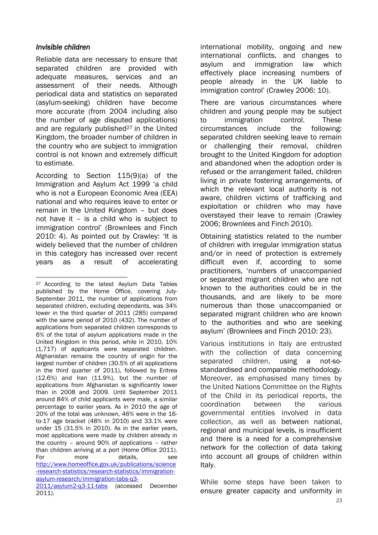## *Invisible children*

Reliable data are necessary to ensure that separated children are provided with adequate measures, services and an assessment of their needs. Although periodical data and statistics on separated (asylum-seeking) children have become more accurate (from 2004 including also the number of age disputed applications) and are regularly published $27$  in the United Kingdom, the broader number of children in the country who are subject to immigration control is not known and extremely difficult to estimate.

According to Section 115(9)(a) of the Immigration and Asylum Act 1999 'a child who is not a European Economic Area (EEA) national and who requires leave to enter or remain in the United Kingdom – but does not have it – is a child who is subject to immigration control' (Brownlees and Finch 2010: 4). As pointed out by Crawley: 'It is widely believed that the number of children in this category has increased over recent years as a result of accelerating international mobility, ongoing and new international conflicts, and changes to asylum and immigration law which effectively place increasing numbers of people already in the UK liable to immigration control' (Crawley 2006: 10).

There are various circumstances where children and young people may be subject to immigration control. These circumstances include the following: separated children seeking leave to remain or challenging their removal, children brought to the United Kingdom for adoption and abandoned when the adoption order is refused or the arrangement failed, children living in private fostering arrangements, of which the relevant local authority is not aware, children victims of trafficking and exploitation or children who may have overstayed their leave to remain (Crawley 2006; Brownlees and Finch 2010).

Obtaining statistics related to the number of children with irregular immigration status and/or in need of protection is extremely difficult even if, according to some practitioners, 'numbers of unaccompanied or separated migrant children who are not known to the authorities could be in the thousands, and are likely to be more numerous than those unaccompanied or separated migrant children who are known to the authorities and who are seeking asylum' (Brownlees and Finch 2010: 23).

Various institutions in Italy are entrusted with the collection of data concerning separated children, using a not-sostandardised and comparable methodology. Moreover, as emphasised many times by the United Nations Committee on the Rights of the Child in its periodical reports, the coordination between the various governmental entities involved in data collection, as well as between national, regional and municipal levels, is insufficient and there is a need for a comprehensive network for the collection of data taking into account all groups of children within Italy.

While some steps have been taken to ensure greater capacity and uniformity in

<sup>&</sup>lt;u>.</u> <sup>27</sup> According to the latest Asylum Data Tables published by the Home Office, covering July-September 2011, the number of applications from separated children, excluding dependants, was 34% lower in the third quarter of 2011 (285) compared with the same period of 2010 (432). The number of applications from separated children corresponds to 6% of the total of asylum applications made in the United Kingdom in this period, while in 2010, 10% (1,717) of applicants were separated children. Afghanistan remains the country of origin for the largest number of children (30.5% of all applications in the third quarter of 2011), followed by Eritrea (12.6%) and Iran (11.9%), but the number of applications from Afghanistan is significantly lower than in 2008 and 2009. Until September 2011 around 84% of child applicants were male, a similar percentage to earlier years. As in 2010 the age of 20% of the total was unknown, 46% were in the 16 to-17 age bracket (48% in 2010) and 33.1% were under 15 (31.5% in 2010). As in the earlier years, most applications were made by children already in the country – around 90% of applications – rather than children arriving at a port (Home Office 2011). For more details, see [http://www.homeoffice.gov.uk/publications/science](http://www.homeoffice.gov.uk/publications/science-research-statistics/research-statistics/immigration-asylum-research/immigration-tabs-q3-2011/asylum2-q3-11-tabs) [-research-statistics/research-statistics/immigration](http://www.homeoffice.gov.uk/publications/science-research-statistics/research-statistics/immigration-asylum-research/immigration-tabs-q3-2011/asylum2-q3-11-tabs)[asylum-research/immigration-tabs-q3-](http://www.homeoffice.gov.uk/publications/science-research-statistics/research-statistics/immigration-asylum-research/immigration-tabs-q3-2011/asylum2-q3-11-tabs) [2011/asylum2-q3-11-tabs](http://www.homeoffice.gov.uk/publications/science-research-statistics/research-statistics/immigration-asylum-research/immigration-tabs-q3-2011/asylum2-q3-11-tabs) (accessed December

<sup>2011).</sup>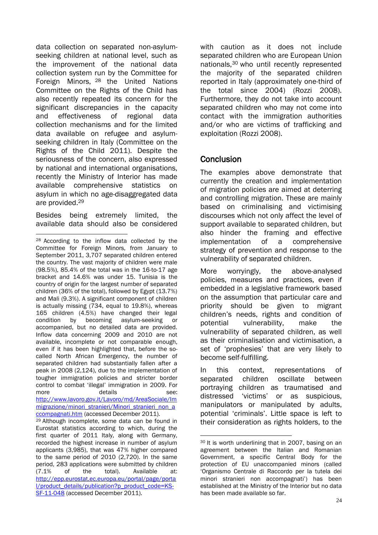data collection on separated non-asylumseeking children at national level, such as the improvement of the national data collection system run by the Committee for Foreign Minors, <sup>28</sup> the United Nations Committee on the Rights of the Child has also recently repeated its concern for the significant discrepancies in the capacity and effectiveness of regional data collection mechanisms and for the limited data available on refugee and asylumseeking children in Italy (Committee on the Rights of the Child 2011). Despite the seriousness of the concern, also expressed by national and international organisations, recently the Ministry of Interior has made available comprehensive statistics on asylum in which no age-disaggregated data are provided.<sup>29</sup>

Besides being extremely limited, the available data should also be considered

1

<sup>29</sup> Although incomplete, some data can be found in Eurostat statistics according to which, during the first quarter of 2011 Italy, along with Germany, recorded the highest increase in number of asylum applicants (3,985), that was 47% higher compared to the same period of 2010 (2,720). In the same period, 283 applications were submitted by children (7.1% of the total). Available at: [http://epp.eurostat.ec.europa.eu/portal/page/porta](http://epp.eurostat.ec.europa.eu/portal/page/portal/product_details/publication?p_product_code=KS-SF-11-048) [l/product\\_details/publication?p\\_product\\_code=KS-](http://epp.eurostat.ec.europa.eu/portal/page/portal/product_details/publication?p_product_code=KS-SF-11-048)[SF-11-048](http://epp.eurostat.ec.europa.eu/portal/page/portal/product_details/publication?p_product_code=KS-SF-11-048) (accessed December 2011).

with caution as it does not include separated children who are European Union nationals,<sup>30</sup> who until recently represented the majority of the separated children reported in Italy (approximately one-third of the total since 2004) (Rozzi 2008). Furthermore, they do not take into account separated children who may not come into contact with the immigration authorities and/or who are victims of trafficking and exploitation (Rozzi 2008).

# **Conclusion**

1

The examples above demonstrate that currently the creation and implementation of migration policies are aimed at deterring and controlling migration. These are mainly based on criminalising and victimising discourses which not only affect the level of support available to separated children, but also hinder the framing and effective implementation of a comprehensive strategy of prevention and response to the vulnerability of separated children.

More worryingly, the above-analysed policies, measures and practices, even if embedded in a legislative framework based on the assumption that particular care and priority should be given to migrant children's needs, rights and condition of potential vulnerability, make the vulnerability of separated children, as well as their criminalisation and victimisation, a set of 'prophesies' that are very likely to become self-fulfilling.

In this context, representations of separated children oscillate between portraying children as traumatised and distressed 'victims' or as suspicious, manipulators or manipulated by adults, potential 'criminals'. Little space is left to their consideration as rights holders, to the

<sup>28</sup> According to the inflow data collected by the Committee for Foreign Minors, from January to September 2011, 3,707 separated children entered the country. The vast majority of children were male (98.5%), 85.4% of the total was in the 16-to-17 age bracket and 14.6% was under 15. Tunisia is the country of origin for the largest number of separated children (36% of the total), followed by Egypt (13.7%) and Mali (9.3%). A significant component of children is actually missing (734, equal to 19.8%), whereas 165 children (4.5%) have changed their legal condition by becoming asylum-seeking or accompanied, but no detailed data are provided. Inflow data concerning 2009 and 2010 are not available, incomplete or not comparable enough, even if it has been highlighted that, before the socalled North African Emergency, the number of separated children had substantially fallen after a peak in 2008 (2,124), due to the implementation of tougher immigration policies and stricter border control to combat 'illegal' immigration in 2009. For more details see: [http://www.lavoro.gov.it/Lavoro/md/AreaSociale/Im](http://www.lavoro.gov.it/Lavoro/md/AreaSociale/Immigrazione/minori_stranieri/Minori_stranieri_non_accompagnati.htm) [migrazione/minori\\_stranieri/Minori\\_stranieri\\_non\\_a](http://www.lavoro.gov.it/Lavoro/md/AreaSociale/Immigrazione/minori_stranieri/Minori_stranieri_non_accompagnati.htm) [ccompagnati.htm](http://www.lavoro.gov.it/Lavoro/md/AreaSociale/Immigrazione/minori_stranieri/Minori_stranieri_non_accompagnati.htm) (accessed December 2011).

<sup>30</sup> It is worth underlining that in 2007, basing on an agreement between the Italian and Romanian Government, a specific Central Body for the protection of EU unaccompanied minors (called 'Organismo Centrale di Raccordo per la tutela dei minori stranieri non accompagnati') has been established at the Ministry of the Interior but no data has been made available so far.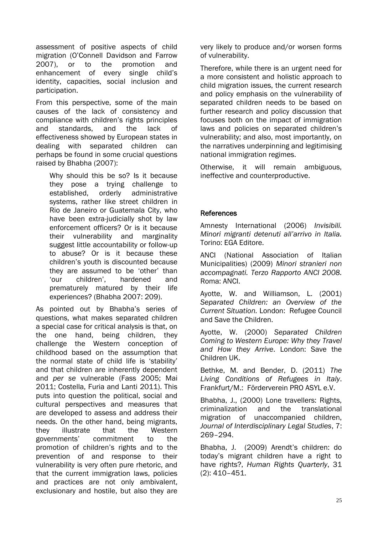assessment of positive aspects of child migration (O'Connell Davidson and Farrow 2007), or to the promotion and enhancement of every single child's identity, capacities, social inclusion and participation.

From this perspective, some of the main causes of the lack of consistency and compliance with children's rights principles and standards, and the lack of effectiveness showed by European states in dealing with separated children can perhaps be found in some crucial questions raised by Bhabha (2007):

Why should this be so? Is it because they pose a trying challenge to established, orderly administrative systems, rather like street children in Rio de Janeiro or Guatemala City, who have been extra-judicially shot by law enforcement officers? Or is it because their vulnerability and marginality suggest little accountability or follow-up to abuse? Or is it because these children's youth is discounted because they are assumed to be 'other' than 'our children', hardened and prematurely matured by their life experiences? (Bhabha 2007: 209).

As pointed out by Bhabha's series of questions, what makes separated children a special case for critical analysis is that, on the one hand, being children, they challenge the Western conception of childhood based on the assumption that the normal state of child life is 'stability' and that children are inherently dependent and *per se* vulnerable (Fass 2005; Mai 2011; Costella, Furia and Lanti 2011). This puts into question the political, social and cultural perspectives and measures that are developed to assess and address their needs. On the other hand, being migrants, they illustrate that the Western governments' commitment to the promotion of children's rights and to the prevention of and response to their vulnerability is very often pure rhetoric, and that the current immigration laws, policies and practices are not only ambivalent, exclusionary and hostile, but also they are

very likely to produce and/or worsen forms of vulnerability.

Therefore, while there is an urgent need for a more consistent and holistic approach to child migration issues, the current research and policy emphasis on the vulnerability of separated children needs to be based on further research and policy discussion that focuses both on the impact of immigration laws and policies on separated children's vulnerability; and also, most importantly, on the narratives underpinning and legitimising national immigration regimes.

Otherwise, it will remain ambiguous, ineffective and counterproductive.

## **References**

Amnesty International (2006) *Invisibili. Minori migranti detenuti all'arrivo in Italia.*  Torino: EGA Editore.

ANCI (National Association of Italian Municipalities) (2009) *Minori stranieri non accompagnati. Terzo Rapporto ANCI 2008.*  Roma: ANCI.

Ayotte, W. and Williamson, L. (2001) *Separated Children: an Overview of the Current Situation.* London: Refugee Council and Save the Children.

Ayotte, W. (2000) *Separated Children Coming to Western Europe: Why they Travel and How they Arrive*. London: Save the Children UK.

Bethke, M. and Bender, D. (2011) *The Living Conditions of Refugees in Italy*. Frankfurt/M.: Förderverein PRO ASYL e.V.

Bhabha, J., (2000) Lone travellers: Rights, criminalization and the translational migration of unaccompanied children, *Journal of Interdisciplinary Legal Studies*, 7: 269–294.

Bhabha, J. (2009) Arendt's children: do today's migrant children have a right to have rights?, *Human Rights Quarterly*, 31 (2): 410–451.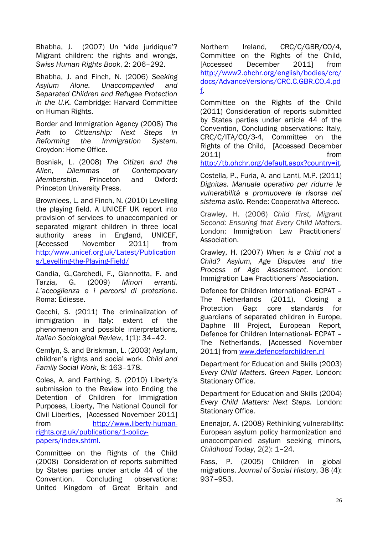Bhabha, J. (2007) Un 'vide juridique'? Migrant children: the rights and wrongs, *Swiss Human Rights Book*, 2: 206–292.

Bhabha, J. and Finch, N. (2006) *Seeking Asylum Alone. Unaccompanied and Separated Children and Refugee Protection in the U.K.* Cambridge: Harvard Committee on Human Rights.

Border and Immigration Agency (2008) *The Path to Citizenship: Next Steps in Reforming the Immigration System*. Croydon: Home Office.

Bosniak, L. (2008) *The Citizen and the Alien, Dilemmas of Contemporary Membership.* Princeton and Oxford: Princeton University Press.

Brownlees, L. and Finch, N. (2010) Levelling the playing field. A UNICEF UK report into provision of services to unaccompanied or separated migrant children in three local authority areas in England, UNICEF, [Accessed November 2011] from [http:/www.unicef.org.uk/Latest/Publication](http://www.unicef.org.uk/Latest/Publications/Levelling-the-Playing-Field/) [s/Levelling-the-Playing-Field/](http://www.unicef.org.uk/Latest/Publications/Levelling-the-Playing-Field/)

Candia, G.,Carchedi, F., Giannotta, F. and Tarzia, G. (2009) *Minori erranti. L'accoglienza e i percorsi di protezione*. Roma: Ediesse.

Cecchi, S. (2011) The criminalization of immigration in Italy: extent of the phenomenon and possible interpretations*, Italian Sociological Review*, 1(1): 34–42.

Cemlyn, S. and Briskman, L. (2003) Asylum, children's rights and social work. *Child and Family Social Work*, 8: 163–178.

Coles, A. and Farthing, S. (2010) Liberty's submission to the Review into Ending the Detention of Children for Immigration Purposes, Liberty, The National Council for Civil Liberties, [Accessed November 2011] from [http://www.liberty-human](http://www.liberty-human-rights.org.uk/publications/1-policy-papers/index.shtml)[rights.org.uk/publications/1-policy](http://www.liberty-human-rights.org.uk/publications/1-policy-papers/index.shtml)[papers/index.shtml.](http://www.liberty-human-rights.org.uk/publications/1-policy-papers/index.shtml)

Committee on the Rights of the Child (2008) Consideration of reports submitted by States parties under article 44 of the Convention, Concluding observations: United Kingdom of Great Britain and Northern Ireland, CRC/C/GBR/CO/4*,*  Committee on the Rights of the Child, [Accessed December 2011] from [http://www2.ohchr.org/english/bodies/crc/](http://www2.ohchr.org/english/bodies/crc/docs/AdvanceVersions/CRC.C.GBR.CO.4.pdf) [docs/AdvanceVersions/CRC.C.GBR.CO.4.pd](http://www2.ohchr.org/english/bodies/crc/docs/AdvanceVersions/CRC.C.GBR.CO.4.pdf) [f.](http://www2.ohchr.org/english/bodies/crc/docs/AdvanceVersions/CRC.C.GBR.CO.4.pdf)

Committee on the Rights of the Child (2011) Consideration of reports submitted by States parties under article 44 of the Convention, Concluding observations: Italy, CRC/C/ITA/CO/3-4, Committee on the Rights of the Child, [Accessed December 2011] from

[http://tb.ohchr.org/default.aspx?country=it.](http://tb.ohchr.org/default.aspx?country=it)

Costella, P., Furia, A. and Lanti, M.P. (2011) *Dignitas. Manuale operativo per ridurre le vulnerabilità e promuovere le risorse nel sistema asilo*. Rende: Cooperativa Altereco.

Crawley, H. (2006) *Child First, Migrant Second: Ensuring that Every Child Matters*. London: Immigration Law Practitioners' Association.

Crawley, H. (2007) *When is a Child not a Child? Asylum, Age Disputes and the Process of Age Assessment.* London: Immigration Law Practitioners' Association.

Defence for Children International- ECPAT – The Netherlands (2011), Closing a Protection Gap: core standards for guardians of separated children in Europe, Daphne III Project, European Report, Defence for Children International- ECPAT – The Netherlands, [Accessed November 2011] from [www.defenceforchildren.nl](http://www.defenceforchildren.nl/)

Department for Education and Skills (2003) *Every Child Matters. Green Paper.* London: Stationary Office.

Department for Education and Skills (2004) *Every Child Matters: Next Steps.* London: Stationary Office.

Enenajor, A. (2008) Rethinking vulnerability: European asylum policy harmonization and unaccompanied asylum seeking minors, *Childhood Today*, 2(2): 1–24.

Fass, P. (2005) Children in global migrations, *Journal of Social History*, 38 (4): 937–953.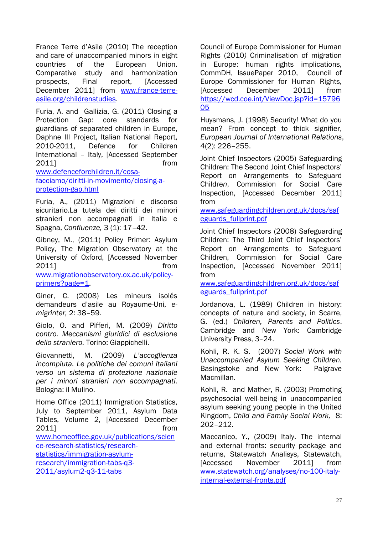France Terre d'Asile (2010) The reception and care of unaccompanied minors in eight countries of the European Union. Comparative study and harmonization prospects, Final report, [Accessed December 2011] from [www.france-terre](http://www.france-terre-asile.org/childrenstudies)[asile.org/childrenstudies.](http://www.france-terre-asile.org/childrenstudies)

Furia, A. and Gallizia, G. (2011) Closing a Protection Gap: core standards for guardians of separated children in Europe, Daphne III Project, Italian National Report, 2010-2011, Defence for Children International – Italy, [Accessed September 2011] from

[www.defenceforchildren.it/cosa](http://www.defenceforchildren.it/cosa-facciamo/diritti-in-movimento/closing-a-protection-gap.html)[facciamo/diritti-in-movimento/closing-a](http://www.defenceforchildren.it/cosa-facciamo/diritti-in-movimento/closing-a-protection-gap.html)[protection-gap.html](http://www.defenceforchildren.it/cosa-facciamo/diritti-in-movimento/closing-a-protection-gap.html)

Furia, A., (2011) Migrazioni e discorso sicuritario.La tutela dei diritti dei minori stranieri non accompagnati in Italia e Spagna, *Confluenze,* 3 (1): 17–42.

Gibney, M., (2011) Policy Primer: Asylum Policy, The Migration Observatory at the University of Oxford, [Accessed November 2011] from

[www.migrationobservatory.ox.ac.uk/policy](http://www.migrationobservatory.ox.ac.uk/policy-primers?page=1)[primers?page=1.](http://www.migrationobservatory.ox.ac.uk/policy-primers?page=1)

Giner, C. (2008) Les mineurs isolés demandeurs d'asile au Royaume-Uni, *emigrinter,* 2: 38–59.

Giolo, O. and Pifferi, M. (2009) *Diritto contro. Meccanismi giuridici di esclusione dello straniero.* Torino: Giappichelli.

Giovannetti, M. (2009) *L'accoglienza incompiuta. Le politiche dei comuni italiani verso un sistema di protezione nazionale per i minori stranieri non accompagnati*. Bologna: il Mulino.

Home Office (2011) Immigration Statistics, July to September 2011, Asylum Data Tables, Volume 2, [Accessed December 2011] from [www.homeoffice.gov.uk/publications/scien](http://www.homeoffice.gov.uk/publications/science-research-statistics/research-statistics/immigration-asylum-research/immigration-tabs-q3-2011/asylum2-q3-11-tabs) [ce-research-statistics/research](http://www.homeoffice.gov.uk/publications/science-research-statistics/research-statistics/immigration-asylum-research/immigration-tabs-q3-2011/asylum2-q3-11-tabs)[statistics/immigration-asylum](http://www.homeoffice.gov.uk/publications/science-research-statistics/research-statistics/immigration-asylum-research/immigration-tabs-q3-2011/asylum2-q3-11-tabs)[research/immigration-tabs-q3-](http://www.homeoffice.gov.uk/publications/science-research-statistics/research-statistics/immigration-asylum-research/immigration-tabs-q3-2011/asylum2-q3-11-tabs) [2011/asylum2-q3-11-tabs](http://www.homeoffice.gov.uk/publications/science-research-statistics/research-statistics/immigration-asylum-research/immigration-tabs-q3-2011/asylum2-q3-11-tabs)

Council of Europe Commissioner for Human Rights (2010*)* Criminalisation of migration in Europe: human rights implications, CommDH, IssuePaper 2010, Council of Europe Commissioner for Human Rights, [Accessed December 2011] from [https://wcd.coe.int/ViewDoc.jsp?id=15796](https://wcd.coe.int/ViewDoc.jsp?id=1579605) [05](https://wcd.coe.int/ViewDoc.jsp?id=1579605) 

Huysmans, J. (1998) Security! What do you mean? From concept to thick signifier, *European Journal of International Relations*, 4(2): 226–255.

Joint Chief Inspectors (2005) Safeguarding Children: The Second Joint Chief Inspectors' Report on Arrangements to Safeguard Childre*n*, Commission for Social Care Inspection, [Accessed December 2011] from

[www.safeguardingchildren.org.uk/docs/saf](http://www.safeguardingchildren.org.uk/docs/safeguards_fullprint.pdf) [eguards\\_fullprint.pdf](http://www.safeguardingchildren.org.uk/docs/safeguards_fullprint.pdf)

Joint Chief Inspectors (2008) Safeguarding Children: The Third Joint Chief Inspectors' Report on Arrangements to Safeguard Children, Commission for Social Care Inspection, [Accessed November 2011] from

[www.safeguardingchildren.org.uk/docs/saf](http://www.safeguardingchildren.org.uk/docs/safeguards_fullprint.pdf) [eguards\\_fullprint.pdf](http://www.safeguardingchildren.org.uk/docs/safeguards_fullprint.pdf) 

Jordanova, L. (1989) Children in history: concepts of nature and society, in Scarre, G. (ed.) *Children, Parents and Politics*. Cambridge and New York: Cambridge University Press, 3–24.

Kohli, R. K. S. (2007) *Social Work with Unaccompanied Asylum Seeking Children.*  Basingstoke and New York: Palgrave Macmillan.

Kohli, R. and Mather, R. (2003) Promoting psychosocial well-being in unaccompanied asylum seeking young people in the United Kingdom, *Child and Family Social Work,* 8: 202–212.

Maccanico, Y., (2009) Italy. The internal and external fronts: security package and returns, Statewatch Analisys, Statewatch, [Accessed November 2011] from [www.statewatch.org/analyses/no-100-italy](http://www.statewatch.org/analyses/no-100-italy-internal-external-fronts.pdf)[internal-external-fronts.pdf](http://www.statewatch.org/analyses/no-100-italy-internal-external-fronts.pdf)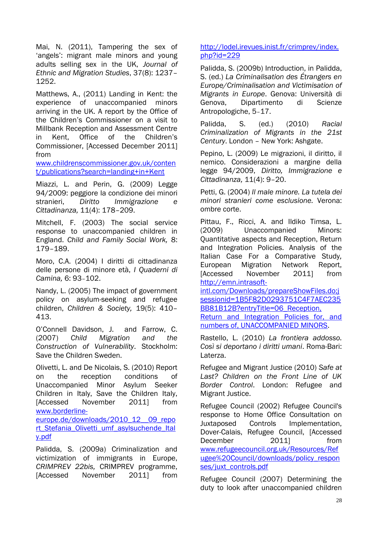Mai, N. (2011), Tampering the sex of 'angels': migrant male minors and young adults selling sex in the UK, *Journal of Ethnic and Migration Studies*, 37(8): 1237– 1252.

Matthews, A., (2011) Landing in Kent: the experience of unaccompanied minors arriving in the UK. A report by the Office of the Children's Commissioner on a visit to Millbank Reception and Assessment Centre in Kent, Office of the Children's Commissioner, [Accessed December 2011] from

[www.childrenscommissioner.gov.uk/conten](http://www.childrenscommissioner.gov.uk/content/publications?search=landing+in+Kent) [t/publications?search=landing+in+Kent](http://www.childrenscommissioner.gov.uk/content/publications?search=landing+in+Kent)

Miazzi, L. and Perin, G. (2009) Legge 94/2009: peggiore la condizione dei minori stranieri, *Diritto Immigrazione e Cittadinanza,* 11(4): 178–209.

Mitchell, F. (2003) The social service response to unaccompanied children in England. *Child and Family Social Work,* 8: 179–189.

Moro, C.A. (2004) I diritti di cittadinanza delle persone di minore età, *I Quaderni di Camina,* 6: 93–102.

Nandy, L. (2005) The impact of government policy on asylum-seeking and refugee children, *Children & Society,* 19(5): 410– 413.

O'Connell Davidson, J. and Farrow, C. (2007) *Child Migration and the Construction of Vulnerability*. Stockholm: Save the Children Sweden.

Olivetti, L. and De Nicolais, S. (2010) Report on the reception conditions of Unaccompanied Minor Asylum Seeker Children in Italy, Save the Children Italy, [Accessed November 2011] from [www.borderline](http://www.borderline-europe.de/downloads/2010_12__09_report_Stefania_Olivetti_umf_asylsuchende_Italy.pdf)[europe.de/downloads/2010\\_12\\_\\_09\\_repo](http://www.borderline-europe.de/downloads/2010_12__09_report_Stefania_Olivetti_umf_asylsuchende_Italy.pdf)

[rt\\_Stefania\\_Olivetti\\_umf\\_asylsuchende\\_Ital](http://www.borderline-europe.de/downloads/2010_12__09_report_Stefania_Olivetti_umf_asylsuchende_Italy.pdf) [y.pdf](http://www.borderline-europe.de/downloads/2010_12__09_report_Stefania_Olivetti_umf_asylsuchende_Italy.pdf)

Palidda, S. (2009a) Criminalization and victimization of immigrants in Europe, *CRIMPREV 22bis,* CRIMPREV programme, [Accessed November 2011] from [http://lodel.irevues.inist.fr/crimprev/index.](http://lodel.irevues.inist.fr/crimprev/index.php?id=229) [php?id=229](http://lodel.irevues.inist.fr/crimprev/index.php?id=229)

Palidda, S. (2009b) Introduction, in Palidda, S. (ed.) *La Criminalisation des Étrangers en Europe/Criminalisation and Victimisation of Migrants in Europe*. Genova: Università di Genova, Dipartimento di Scienze Antropologiche, 5–17.

Palidda, S. (ed.) (2010) *Racial Criminalization of Migrants in the 21st Century*. London – New York: Ashgate.

Pepino, L. (2009) Le migrazioni, il diritto, il nemico. Considerazioni a margine della legge 94/2009, *Diritto, Immigrazione e Cittadinanza,* 11(4): 9–20.

Petti, G. (2004) *Il male minore. La tutela dei minori stranieri come esclusione.* Verona: ombre corte.

Pittau, F., Ricci, A. and Ildiko Timsa, L. (2009) Unaccompanied Minors: Quantitative aspects and Reception, Return and Integration Policies. Analysis of the Italian Case For a Comparative Study*,* European Migration Network Report, [Accessed November 2011] from [http://emn.intrasoft-](http://emn.intrasoft-intl.com/Downloads/prepareShowFiles.do;jsessionid=1B5F82D0293751C4F7AEC235BB81B12B?entryTitle=06_Reception,%20Return%20and%20Integration%20Policies%20for,%20and%20numbers%20of,%20UNACCOMPANIED%20MINORS)

[intl.com/Downloads/prepareShowFiles.do;j](http://emn.intrasoft-intl.com/Downloads/prepareShowFiles.do;jsessionid=1B5F82D0293751C4F7AEC235BB81B12B?entryTitle=06_Reception,%20Return%20and%20Integration%20Policies%20for,%20and%20numbers%20of,%20UNACCOMPANIED%20MINORS) [sessionid=1B5F82D0293751C4F7AEC235](http://emn.intrasoft-intl.com/Downloads/prepareShowFiles.do;jsessionid=1B5F82D0293751C4F7AEC235BB81B12B?entryTitle=06_Reception,%20Return%20and%20Integration%20Policies%20for,%20and%20numbers%20of,%20UNACCOMPANIED%20MINORS) BB81B12B?entryTitle=06 Reception, [Return and Integration Policies for, and](http://emn.intrasoft-intl.com/Downloads/prepareShowFiles.do;jsessionid=1B5F82D0293751C4F7AEC235BB81B12B?entryTitle=06_Reception,%20Return%20and%20Integration%20Policies%20for,%20and%20numbers%20of,%20UNACCOMPANIED%20MINORS)  [numbers of, UNACCOMPANIED MINORS.](http://emn.intrasoft-intl.com/Downloads/prepareShowFiles.do;jsessionid=1B5F82D0293751C4F7AEC235BB81B12B?entryTitle=06_Reception,%20Return%20and%20Integration%20Policies%20for,%20and%20numbers%20of,%20UNACCOMPANIED%20MINORS)

Rastello, L. (2010) *La frontiera addosso. Così si deportano i diritti umani*. Roma-Bari: Laterza.

Refugee and Migrant Justice (2010) *Safe at Last? Children on the Front Line of UK Border Control*. London: Refugee and Migrant Justice.

Refugee Council (2002) Refugee Council's response to Home Office Consultation on Juxtaposed Controls Implementation, Dover-Calais, Refugee Council, [Accessed December 2011] from [www.refugeecouncil.org.uk/Resources/Ref](http://www.refugeecouncil.org.uk/Resources/Refugee%20Council/downloads/policy_responses/juxt_controls.pdf) [ugee%20Council/downloads/policy\\_respon](http://www.refugeecouncil.org.uk/Resources/Refugee%20Council/downloads/policy_responses/juxt_controls.pdf) [ses/juxt\\_controls.pdf](http://www.refugeecouncil.org.uk/Resources/Refugee%20Council/downloads/policy_responses/juxt_controls.pdf) 

Refugee Council (2007) Determining the duty to look after unaccompanied children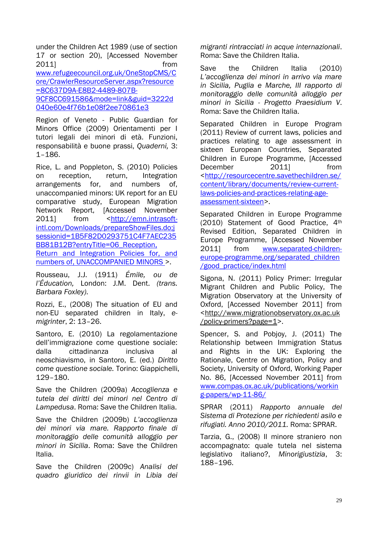under the Children Act 1989 (use of section 17 or section 20), [Accessed November 2011] from [www.refugeecouncil.org.uk/OneStopCMS/C](http://www.refugeecouncil.org.uk/OneStopCMS/Core/CrawlerResourceServer.aspx?resource=8C637D9A-E8B2-4489-807B-9CF8CC691586&mode=link&guid=3222d040e60e4f76b1e08f2ee70861e3) [ore/CrawlerResourceServer.aspx?resource](http://www.refugeecouncil.org.uk/OneStopCMS/Core/CrawlerResourceServer.aspx?resource=8C637D9A-E8B2-4489-807B-9CF8CC691586&mode=link&guid=3222d040e60e4f76b1e08f2ee70861e3) [=8C637D9A-E8B2-4489-807B-](http://www.refugeecouncil.org.uk/OneStopCMS/Core/CrawlerResourceServer.aspx?resource=8C637D9A-E8B2-4489-807B-9CF8CC691586&mode=link&guid=3222d040e60e4f76b1e08f2ee70861e3)[9CF8CC691586&mode=link&guid=3222d](http://www.refugeecouncil.org.uk/OneStopCMS/Core/CrawlerResourceServer.aspx?resource=8C637D9A-E8B2-4489-807B-9CF8CC691586&mode=link&guid=3222d040e60e4f76b1e08f2ee70861e3) [040e60e4f76b1e08f2ee70861e3](http://www.refugeecouncil.org.uk/OneStopCMS/Core/CrawlerResourceServer.aspx?resource=8C637D9A-E8B2-4489-807B-9CF8CC691586&mode=link&guid=3222d040e60e4f76b1e08f2ee70861e3)

Region of Veneto - Public Guardian for Minors Office (2009) Orientamenti per I tutori legali dei minori di età. Funzioni, responsabilità e buone prassi, *Quaderni,* 3: 1–186.

Rice, L. and Poppleton, S. (2010) Policies on reception, return, Integration arrangements for, and numbers of, unaccompanied minors: UK report for an EU comparative study, European Migration Network Report, [Accessed November 2011] from [<http://emn.intrasoft](http://emn.intrasoft-intl.com/Downloads/prepareShowFiles.do;jsessionid=1B5F82D0293751C4F7AEC235BB81B12B?entryTitle=06_Reception,%20Return%20and%20Integration%20Policies%20for,%20and%20numbers%20of,%20UNACCOMPANIED%20MINORS)[intl.com/Downloads/prepareShowFiles.do;j](http://emn.intrasoft-intl.com/Downloads/prepareShowFiles.do;jsessionid=1B5F82D0293751C4F7AEC235BB81B12B?entryTitle=06_Reception,%20Return%20and%20Integration%20Policies%20for,%20and%20numbers%20of,%20UNACCOMPANIED%20MINORS) [sessionid=1B5F82D0293751C4F7AEC235](http://emn.intrasoft-intl.com/Downloads/prepareShowFiles.do;jsessionid=1B5F82D0293751C4F7AEC235BB81B12B?entryTitle=06_Reception,%20Return%20and%20Integration%20Policies%20for,%20and%20numbers%20of,%20UNACCOMPANIED%20MINORS) BB81B12B?entryTitle=06 Reception, Return and Integration Policies for, and [numbers of, UNACCOMPANIED MINORS >](http://emn.intrasoft-intl.com/Downloads/prepareShowFiles.do;jsessionid=1B5F82D0293751C4F7AEC235BB81B12B?entryTitle=06_Reception,%20Return%20and%20Integration%20Policies%20for,%20and%20numbers%20of,%20UNACCOMPANIED%20MINORS).

Rousseau, J.J. (1911) *Émile, ou de l'Éducation,* London: J.M. Dent. *(trans. Barbara Foxley)*.

Rozzi, E., (2008) The situation of EU and non-EU separated children in Italy, *emigrinter*, 2: 13–26.

Santoro, E. (2010) La regolamentazione dell'immigrazione come questione sociale: dalla cittadinanza inclusiva al neoschiavismo, in Santoro, E. (ed.) *Diritto come questione sociale.* Torino: Giappichelli, 129–180.

Save the Children (2009a) *Accoglienza e tutela dei diritti dei minori nel Centro di Lampedusa*. Roma: Save the Children Italia.

Save the Children (2009b) *L'accoglienza dei minori via mare. Rapporto finale di monitoraggio delle comunità alloggio per minori in Sicilia*. Roma: Save the Children Italia.

Save the Children (2009c) *Analisi del quadro giuridico dei rinvii in Libia dei* 

*migranti rintracciati in acque internazionali*. Roma: Save the Children Italia.

Save the Children Italia (2010) *L'accoglienza dei minori in arrivo via mare in Sicilia, Puglia e Marche, III rapporto di monitoraggio delle comunità alloggio per minori in Sicilia - Progetto Praesidium V*. Roma: Save the Children Italia.

Separated Children in Europe Program (2011) Review of current laws, policies and practices relating to age assessment in sixteen European Countries, Separated Children in Europe Programme, [Accessed December 2011] from [<http://resourcecentre.savethechildren.se/](http://resourcecentre.savethechildren.se/content/library/documents/review-current-laws-policies-and-practices-relating-age-assessment-sixteen) [content/library/documents/review-current](http://resourcecentre.savethechildren.se/content/library/documents/review-current-laws-policies-and-practices-relating-age-assessment-sixteen)[laws-policies-and-practices-relating-age](http://resourcecentre.savethechildren.se/content/library/documents/review-current-laws-policies-and-practices-relating-age-assessment-sixteen)[assessment-sixteen>](http://resourcecentre.savethechildren.se/content/library/documents/review-current-laws-policies-and-practices-relating-age-assessment-sixteen).

Separated Children in Europe Programme (2010) Statement of Good Practice, 4th Revised Edition, Separated Children in Europe Programme, [Accessed November 2011] from [www.separated-children](http://www.separated-children-europe-programme.org/separated_children%20/good_practice/index.html)[europe-programme.org/separated\\_children](http://www.separated-children-europe-programme.org/separated_children%20/good_practice/index.html)  [/good\\_practice/index.html](http://www.separated-children-europe-programme.org/separated_children%20/good_practice/index.html)

Sigona, N. (2011) Policy Primer: Irregular Migrant Children and Public Policy, The Migration Observatory at the University of Oxford, [Accessed November 2011] from [<http://www.migrationobservatory.ox.ac.uk](http://www.migrationobservatory.ox.ac.uk/policy-primers?page=1) [/policy-primers?page=1>](http://www.migrationobservatory.ox.ac.uk/policy-primers?page=1).

Spencer, S. and Pobjoy, J. (2011) The Relationship between Immigration Status and Rights in the UK: Exploring the Rationale, Centre on Migration, Policy and Society, University of Oxford, Working Paper No. 86, [Accessed November 2011] from [www.compas.ox.ac.uk/publications/workin](http://www.compas.ox.ac.uk/publications/working-papers/wp-11-86/) [g-papers/wp-11-86/](http://www.compas.ox.ac.uk/publications/working-papers/wp-11-86/)

SPRAR (2011) *Rapporto annuale del Sistema di Protezione per richiedenti asilo e rifugiati. Anno 2010/2011.* Roma: SPRAR.

Tarzia, G., (2008) Il minore straniero non accompagnato: quale tutela nel sistema legislativo italiano?, *Minorigiustizia*, 3: 188–196.